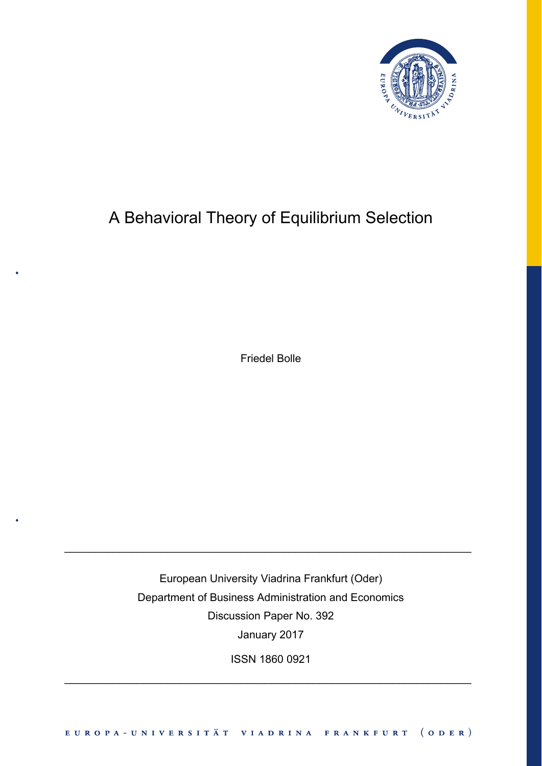

# A Behavioral Theory of Equilibrium Selection

Friedel Bolle

European University Viadrina Frankfurt (Oder) Department of Business Administration and Economics Discussion Paper No. 392 January 2017

\_\_\_\_\_\_\_\_\_\_\_\_\_\_\_\_\_\_\_\_\_\_\_\_\_\_\_\_\_\_\_\_\_\_\_\_\_\_\_\_\_\_\_\_\_\_\_\_\_\_\_\_\_\_\_\_\_\_\_\_\_\_\_\_\_\_\_

ISSN 1860 0921

\_\_\_\_\_\_\_\_\_\_\_\_\_\_\_\_\_\_\_\_\_\_\_\_\_\_\_\_\_\_\_\_\_\_\_\_\_\_\_\_\_\_\_\_\_\_\_\_\_\_\_\_\_\_\_\_\_\_\_\_\_\_\_\_\_\_\_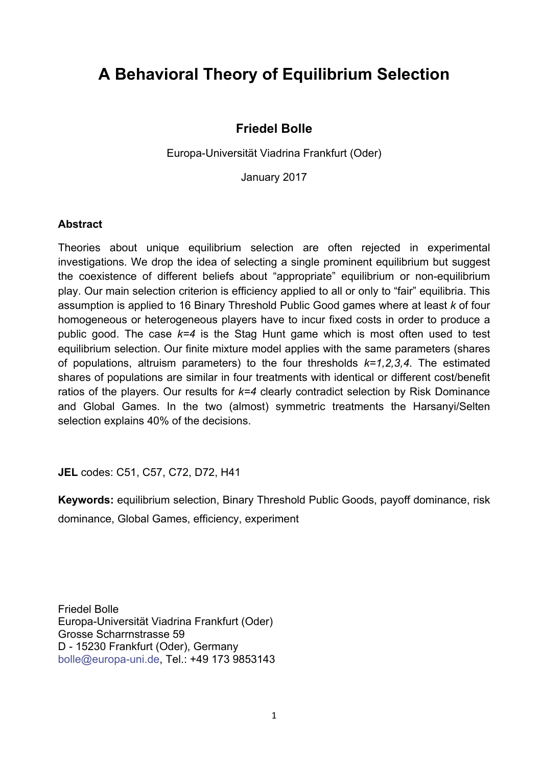## **A Behavioral Theory of Equilibrium Selection**

## **Friedel Bolle**

Europa-Universität Viadrina Frankfurt (Oder)

January 2017

## **Abstract**

Theories about unique equilibrium selection are often rejected in experimental investigations. We drop the idea of selecting a single prominent equilibrium but suggest the coexistence of different beliefs about "appropriate" equilibrium or non-equilibrium play. Our main selection criterion is efficiency applied to all or only to "fair" equilibria. This assumption is applied to 16 Binary Threshold Public Good games where at least *k* of four homogeneous or heterogeneous players have to incur fixed costs in order to produce a public good. The case *k=4* is the Stag Hunt game which is most often used to test equilibrium selection. Our finite mixture model applies with the same parameters (shares of populations, altruism parameters) to the four thresholds *k=1,2,3,4*. The estimated shares of populations are similar in four treatments with identical or different cost/benefit ratios of the players. Our results for *k=4* clearly contradict selection by Risk Dominance and Global Games. In the two (almost) symmetric treatments the Harsanyi/Selten selection explains 40% of the decisions.

**JEL** codes: C51, C57, C72, D72, H41

**Keywords:** equilibrium selection, Binary Threshold Public Goods, payoff dominance, risk dominance, Global Games, efficiency, experiment

Friedel Bolle Europa-Universität Viadrina Frankfurt (Oder) Grosse Scharrnstrasse 59 D - 15230 Frankfurt (Oder), Germany bolle@europa-uni.de, Tel.: +49 173 9853143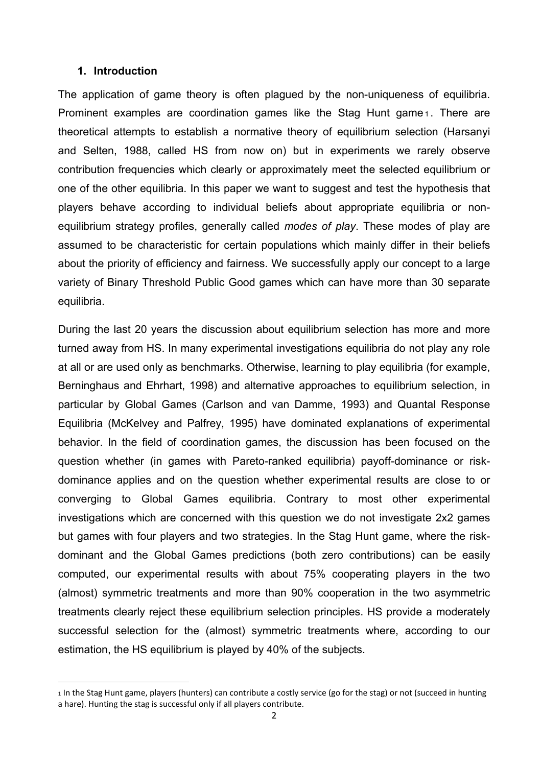## **1. Introduction**

The application of game theory is often plagued by the non-uniqueness of equilibria. Prominent examples are coordination games like the Stag Hunt game<sub>1</sub>. There are theoretical attempts to establish a normative theory of equilibrium selection (Harsanyi and Selten, 1988, called HS from now on) but in experiments we rarely observe contribution frequencies which clearly or approximately meet the selected equilibrium or one of the other equilibria. In this paper we want to suggest and test the hypothesis that players behave according to individual beliefs about appropriate equilibria or nonequilibrium strategy profiles, generally called *modes of play*. These modes of play are assumed to be characteristic for certain populations which mainly differ in their beliefs about the priority of efficiency and fairness. We successfully apply our concept to a large variety of Binary Threshold Public Good games which can have more than 30 separate equilibria.

During the last 20 years the discussion about equilibrium selection has more and more turned away from HS. In many experimental investigations equilibria do not play any role at all or are used only as benchmarks. Otherwise, learning to play equilibria (for example, Berninghaus and Ehrhart, 1998) and alternative approaches to equilibrium selection, in particular by Global Games (Carlson and van Damme, 1993) and Quantal Response Equilibria (McKelvey and Palfrey, 1995) have dominated explanations of experimental behavior. In the field of coordination games, the discussion has been focused on the question whether (in games with Pareto-ranked equilibria) payoff-dominance or riskdominance applies and on the question whether experimental results are close to or converging to Global Games equilibria. Contrary to most other experimental investigations which are concerned with this question we do not investigate 2x2 games but games with four players and two strategies. In the Stag Hunt game, where the riskdominant and the Global Games predictions (both zero contributions) can be easily computed, our experimental results with about 75% cooperating players in the two (almost) symmetric treatments and more than 90% cooperation in the two asymmetric treatments clearly reject these equilibrium selection principles. HS provide a moderately successful selection for the (almost) symmetric treatments where, according to our estimation, the HS equilibrium is played by 40% of the subjects.

<sup>1</sup> In the Stag Hunt game, players (hunters) can contribute a costly service (go for the stag) or not (succeed in hunting a hare). Hunting the stag is successful only if all players contribute.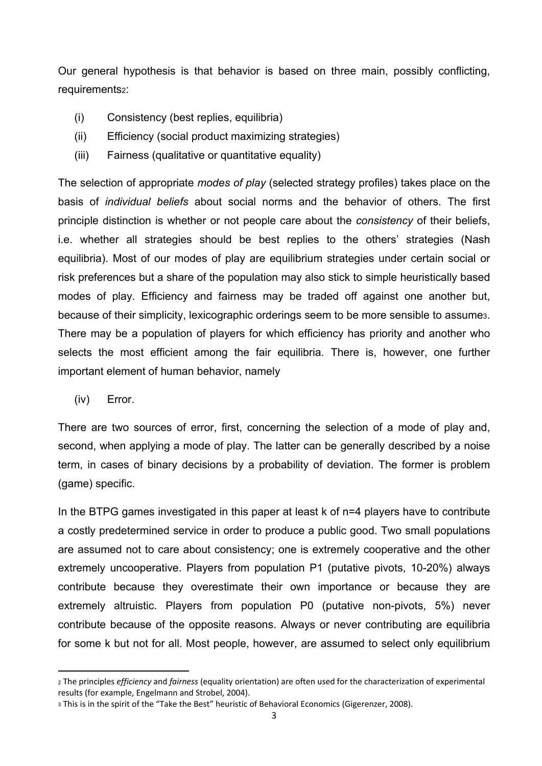Our general hypothesis is that behavior is based on three main, possibly conflicting, requirements2:

- (i) Consistency (best replies, equilibria)
- (ii) Efficiency (social product maximizing strategies)
- (iii) Fairness (qualitative or quantitative equality)

The selection of appropriate *modes of play* (selected strategy profiles) takes place on the basis of *individual beliefs* about social norms and the behavior of others. The first principle distinction is whether or not people care about the *consistency* of their beliefs, i.e. whether all strategies should be best replies to the others' strategies (Nash equilibria). Most of our modes of play are equilibrium strategies under certain social or risk preferences but a share of the population may also stick to simple heuristically based modes of play. Efficiency and fairness may be traded off against one another but, because of their simplicity, lexicographic orderings seem to be more sensible to assume3. There may be a population of players for which efficiency has priority and another who selects the most efficient among the fair equilibria. There is, however, one further important element of human behavior, namely

(iv) Error.

There are two sources of error, first, concerning the selection of a mode of play and, second, when applying a mode of play. The latter can be generally described by a noise term, in cases of binary decisions by a probability of deviation. The former is problem (game) specific.

In the BTPG games investigated in this paper at least k of n=4 players have to contribute a costly predetermined service in order to produce a public good. Two small populations are assumed not to care about consistency; one is extremely cooperative and the other extremely uncooperative. Players from population P1 (putative pivots, 10-20%) always contribute because they overestimate their own importance or because they are extremely altruistic. Players from population P0 (putative non-pivots, 5%) never contribute because of the opposite reasons. Always or never contributing are equilibria for some k but not for all. Most people, however, are assumed to select only equilibrium

<sup>2</sup> The principles *efficiency* and *fairness* (equality orientation) are often used for the characterization of experimental results (for example, Engelmann and Strobel, 2004).

<sup>3</sup> This is in the spirit of the "Take the Best" heuristic of Behavioral Economics (Gigerenzer, 2008).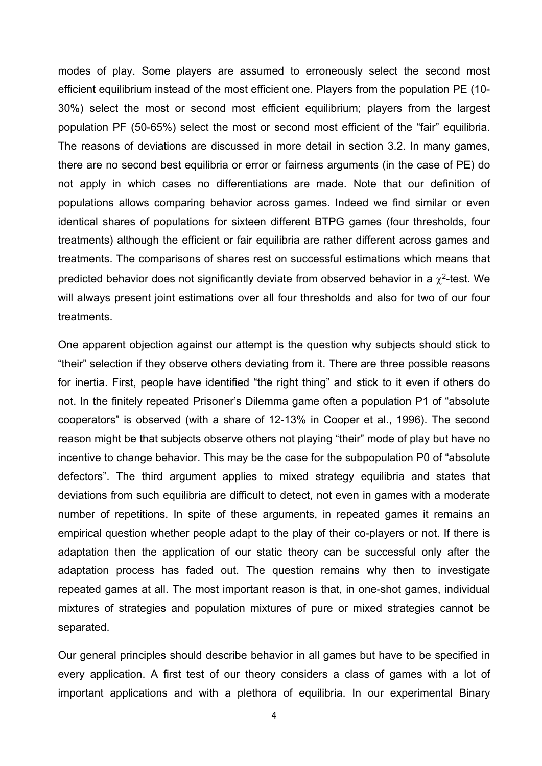modes of play. Some players are assumed to erroneously select the second most efficient equilibrium instead of the most efficient one. Players from the population PE (10- 30%) select the most or second most efficient equilibrium; players from the largest population PF (50-65%) select the most or second most efficient of the "fair" equilibria. The reasons of deviations are discussed in more detail in section 3.2. In many games, there are no second best equilibria or error or fairness arguments (in the case of PE) do not apply in which cases no differentiations are made. Note that our definition of populations allows comparing behavior across games. Indeed we find similar or even identical shares of populations for sixteen different BTPG games (four thresholds, four treatments) although the efficient or fair equilibria are rather different across games and treatments. The comparisons of shares rest on successful estimations which means that predicted behavior does not significantly deviate from observed behavior in a  $\chi^2$ -test. We will always present joint estimations over all four thresholds and also for two of our four treatments.

One apparent objection against our attempt is the question why subjects should stick to "their" selection if they observe others deviating from it. There are three possible reasons for inertia. First, people have identified "the right thing" and stick to it even if others do not. In the finitely repeated Prisoner's Dilemma game often a population P1 of "absolute cooperators" is observed (with a share of 12-13% in Cooper et al., 1996). The second reason might be that subjects observe others not playing "their" mode of play but have no incentive to change behavior. This may be the case for the subpopulation P0 of "absolute defectors". The third argument applies to mixed strategy equilibria and states that deviations from such equilibria are difficult to detect, not even in games with a moderate number of repetitions. In spite of these arguments, in repeated games it remains an empirical question whether people adapt to the play of their co-players or not. If there is adaptation then the application of our static theory can be successful only after the adaptation process has faded out. The question remains why then to investigate repeated games at all. The most important reason is that, in one-shot games, individual mixtures of strategies and population mixtures of pure or mixed strategies cannot be separated.

Our general principles should describe behavior in all games but have to be specified in every application. A first test of our theory considers a class of games with a lot of important applications and with a plethora of equilibria. In our experimental Binary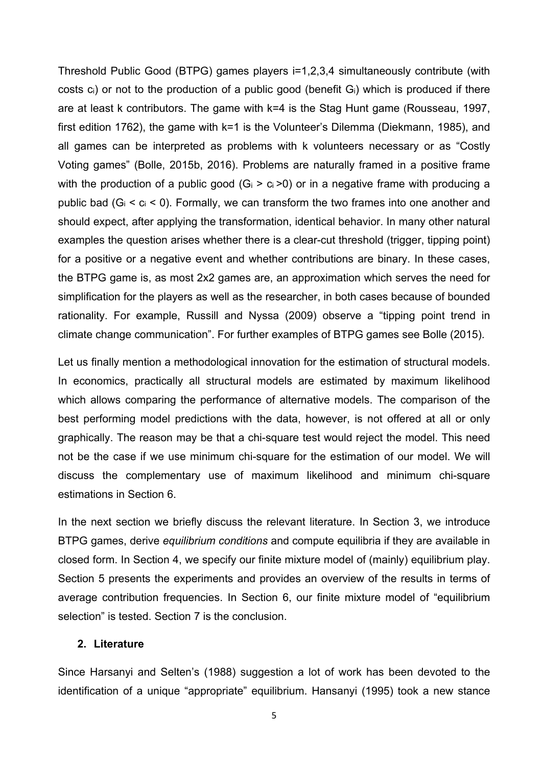Threshold Public Good (BTPG) games players i=1,2,3,4 simultaneously contribute (with costs  $c_i$ ) or not to the production of a public good (benefit  $G_i$ ) which is produced if there are at least k contributors. The game with k=4 is the Stag Hunt game (Rousseau, 1997, first edition 1762), the game with k=1 is the Volunteer's Dilemma (Diekmann, 1985), and all games can be interpreted as problems with k volunteers necessary or as "Costly Voting games" (Bolle, 2015b, 2016). Problems are naturally framed in a positive frame with the production of a public good  $(G_i > c_i > 0)$  or in a negative frame with producing a public bad ( $G_i < c_i < 0$ ). Formally, we can transform the two frames into one another and should expect, after applying the transformation, identical behavior. In many other natural examples the question arises whether there is a clear-cut threshold (trigger, tipping point) for a positive or a negative event and whether contributions are binary. In these cases, the BTPG game is, as most 2x2 games are, an approximation which serves the need for simplification for the players as well as the researcher, in both cases because of bounded rationality. For example, Russill and Nyssa (2009) observe a "tipping point trend in climate change communication". For further examples of BTPG games see Bolle (2015).

Let us finally mention a methodological innovation for the estimation of structural models. In economics, practically all structural models are estimated by maximum likelihood which allows comparing the performance of alternative models. The comparison of the best performing model predictions with the data, however, is not offered at all or only graphically. The reason may be that a chi-square test would reject the model. This need not be the case if we use minimum chi-square for the estimation of our model. We will discuss the complementary use of maximum likelihood and minimum chi-square estimations in Section 6.

In the next section we briefly discuss the relevant literature. In Section 3, we introduce BTPG games, derive *equilibrium conditions* and compute equilibria if they are available in closed form. In Section 4, we specify our finite mixture model of (mainly) equilibrium play. Section 5 presents the experiments and provides an overview of the results in terms of average contribution frequencies. In Section 6, our finite mixture model of "equilibrium selection" is tested. Section 7 is the conclusion.

## **2. Literature**

Since Harsanyi and Selten's (1988) suggestion a lot of work has been devoted to the identification of a unique "appropriate" equilibrium. Hansanyi (1995) took a new stance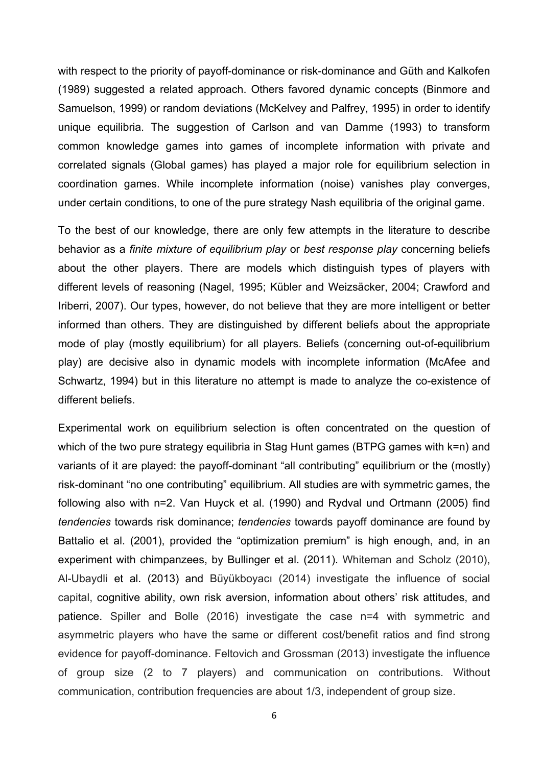with respect to the priority of payoff-dominance or risk-dominance and Güth and Kalkofen (1989) suggested a related approach. Others favored dynamic concepts (Binmore and Samuelson, 1999) or random deviations (McKelvey and Palfrey, 1995) in order to identify unique equilibria. The suggestion of Carlson and van Damme (1993) to transform common knowledge games into games of incomplete information with private and correlated signals (Global games) has played a major role for equilibrium selection in coordination games. While incomplete information (noise) vanishes play converges, under certain conditions, to one of the pure strategy Nash equilibria of the original game.

To the best of our knowledge, there are only few attempts in the literature to describe behavior as a *finite mixture of equilibrium play* or *best response play* concerning beliefs about the other players. There are models which distinguish types of players with different levels of reasoning (Nagel, 1995; Kübler and Weizsäcker, 2004; Crawford and Iriberri, 2007). Our types, however, do not believe that they are more intelligent or better informed than others. They are distinguished by different beliefs about the appropriate mode of play (mostly equilibrium) for all players. Beliefs (concerning out-of-equilibrium play) are decisive also in dynamic models with incomplete information (McAfee and Schwartz, 1994) but in this literature no attempt is made to analyze the co-existence of different beliefs.

Experimental work on equilibrium selection is often concentrated on the question of which of the two pure strategy equilibria in Stag Hunt games (BTPG games with k=n) and variants of it are played: the payoff-dominant "all contributing" equilibrium or the (mostly) risk-dominant "no one contributing" equilibrium. All studies are with symmetric games, the following also with n=2. Van Huyck et al. (1990) and Rydval und Ortmann (2005) find *tendencies* towards risk dominance; *tendencies* towards payoff dominance are found by Battalio et al. (2001), provided the "optimization premium" is high enough, and, in an experiment with chimpanzees, by Bullinger et al. (2011). Whiteman and Scholz (2010), Al-Ubaydli et al. (2013) and Büyükboyacı (2014) investigate the influence of social capital, cognitive ability, own risk aversion, information about others' risk attitudes, and patience. Spiller and Bolle (2016) investigate the case n=4 with symmetric and asymmetric players who have the same or different cost/benefit ratios and find strong evidence for payoff-dominance. Feltovich and Grossman (2013) investigate the influence of group size (2 to 7 players) and communication on contributions. Without communication, contribution frequencies are about 1/3, independent of group size.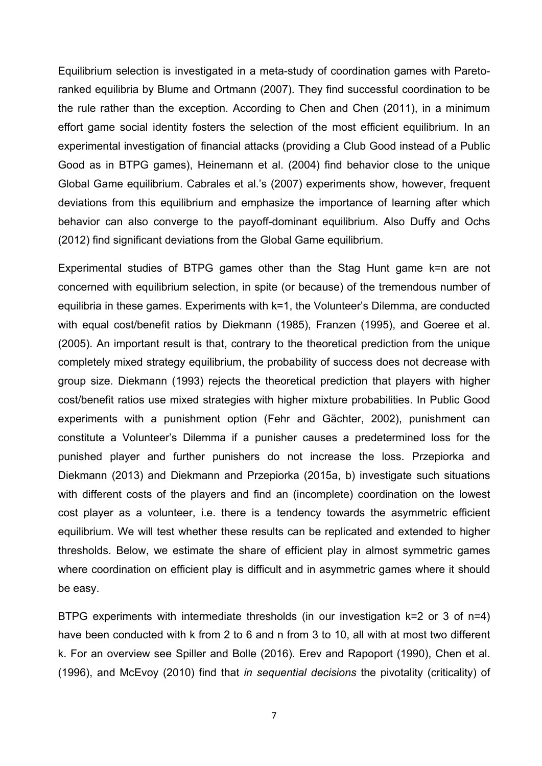Equilibrium selection is investigated in a meta-study of coordination games with Paretoranked equilibria by Blume and Ortmann (2007). They find successful coordination to be the rule rather than the exception. According to Chen and Chen (2011), in a minimum effort game social identity fosters the selection of the most efficient equilibrium. In an experimental investigation of financial attacks (providing a Club Good instead of a Public Good as in BTPG games), Heinemann et al. (2004) find behavior close to the unique Global Game equilibrium. Cabrales et al.'s (2007) experiments show, however, frequent deviations from this equilibrium and emphasize the importance of learning after which behavior can also converge to the payoff-dominant equilibrium. Also Duffy and Ochs (2012) find significant deviations from the Global Game equilibrium.

Experimental studies of BTPG games other than the Stag Hunt game k=n are not concerned with equilibrium selection, in spite (or because) of the tremendous number of equilibria in these games. Experiments with k=1, the Volunteer's Dilemma, are conducted with equal cost/benefit ratios by Diekmann (1985), Franzen (1995), and Goeree et al. (2005). An important result is that, contrary to the theoretical prediction from the unique completely mixed strategy equilibrium, the probability of success does not decrease with group size. Diekmann (1993) rejects the theoretical prediction that players with higher cost/benefit ratios use mixed strategies with higher mixture probabilities. In Public Good experiments with a punishment option (Fehr and Gächter, 2002), punishment can constitute a Volunteer's Dilemma if a punisher causes a predetermined loss for the punished player and further punishers do not increase the loss. Przepiorka and Diekmann (2013) and Diekmann and Przepiorka (2015a, b) investigate such situations with different costs of the players and find an (incomplete) coordination on the lowest cost player as a volunteer, i.e. there is a tendency towards the asymmetric efficient equilibrium. We will test whether these results can be replicated and extended to higher thresholds. Below, we estimate the share of efficient play in almost symmetric games where coordination on efficient play is difficult and in asymmetric games where it should be easy.

BTPG experiments with intermediate thresholds (in our investigation k=2 or 3 of n=4) have been conducted with k from 2 to 6 and n from 3 to 10, all with at most two different k. For an overview see Spiller and Bolle (2016). Erev and Rapoport (1990), Chen et al. (1996), and McEvoy (2010) find that *in sequential decisions* the pivotality (criticality) of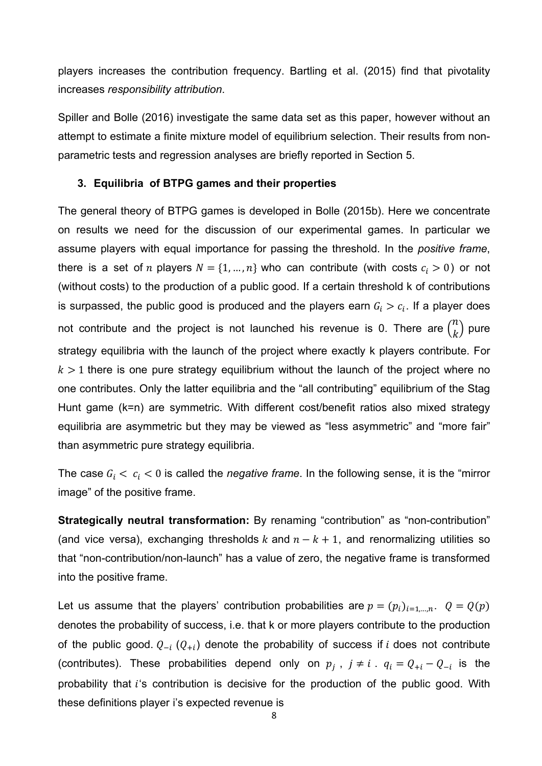players increases the contribution frequency. Bartling et al. (2015) find that pivotality increases *responsibility attribution*.

Spiller and Bolle (2016) investigate the same data set as this paper, however without an attempt to estimate a finite mixture model of equilibrium selection. Their results from nonparametric tests and regression analyses are briefly reported in Section 5.

## **3. Equilibria of BTPG games and their properties**

The general theory of BTPG games is developed in Bolle (2015b). Here we concentrate on results we need for the discussion of our experimental games. In particular we assume players with equal importance for passing the threshold. In the *positive frame*, there is a set of *n* players  $N = \{1, ..., n\}$  who can contribute (with costs  $c_i > 0$ ) or not (without costs) to the production of a public good. If a certain threshold k of contributions is surpassed, the public good is produced and the players earn  $G_i > c_i$ . If a player does not contribute and the project is not launched his revenue is 0. There are  $\binom{n}{k}$  pure strategy equilibria with the launch of the project where exactly k players contribute. For  $k > 1$  there is one pure strategy equilibrium without the launch of the project where no one contributes. Only the latter equilibria and the "all contributing" equilibrium of the Stag Hunt game (k=n) are symmetric. With different cost/benefit ratios also mixed strategy equilibria are asymmetric but they may be viewed as "less asymmetric" and "more fair" than asymmetric pure strategy equilibria.

The case  $G_i < c_i < 0$  is called the *negative frame*. In the following sense, it is the "mirror image" of the positive frame.

**Strategically neutral transformation:** By renaming "contribution" as "non-contribution" (and vice versa), exchanging thresholds k and  $n-k+1$ , and renormalizing utilities so that "non-contribution/non-launch" has a value of zero, the negative frame is transformed into the positive frame.

Let us assume that the players' contribution probabilities are  $p = (p_i)_{i=1,\dots,n}$ .  $Q = Q(p)$ denotes the probability of success, i.e. that k or more players contribute to the production of the public good.  $Q_{-i}$  ( $Q_{+i}$ ) denote the probability of success if *i* does not contribute (contributes). These probabilities depend only on  $p_j$ ,  $j \neq i$ .  $q_i = Q_{+i} - Q_{-i}$  is the probability that  $i$ 's contribution is decisive for the production of the public good. With these definitions player i's expected revenue is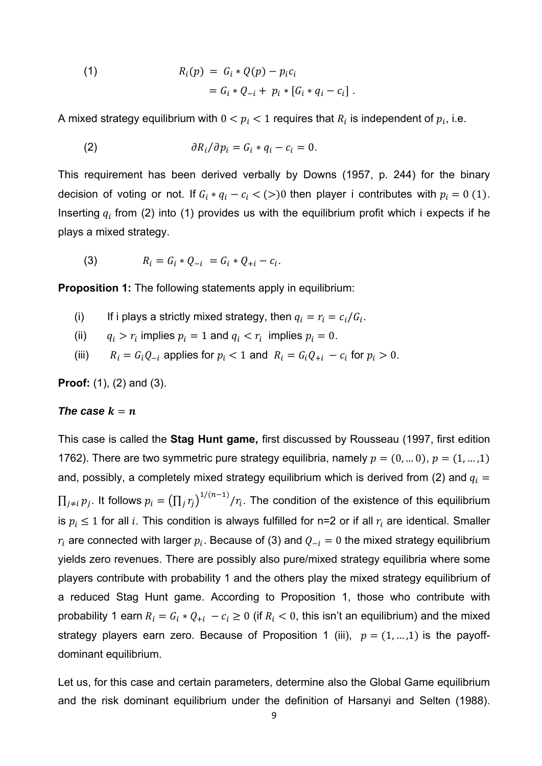(1) 
$$
R_i(p) = G_i * Q(p) - p_i c_i
$$

$$
= G_i * Q_{-i} + p_i * [G_i * q_i - c_i].
$$

A mixed strategy equilibrium with  $0 < p_i < 1$  requires that  $R_i$  is independent of  $p_i$ , i.e.

(2) 
$$
\partial R_i/\partial p_i = G_i * q_i - c_i = 0.
$$

This requirement has been derived verbally by Downs (1957, p. 244) for the binary decision of voting or not. If  $G_i * q_i - c_i < (>)0$  then player i contributes with  $p_i = 0$  (1). Inserting  $q_i$  from (2) into (1) provides us with the equilibrium profit which i expects if he plays a mixed strategy.

(3) 
$$
R_i = G_i * Q_{-i} = G_i * Q_{+i} - c_i.
$$

**Proposition 1:** The following statements apply in equilibrium:

- (i) If i plays a strictly mixed strategy, then  $q_i = r_i = c_i/G_i$ .
- (ii)  $q_i > r_i$  implies  $p_i = 1$  and  $q_i < r_i$  implies  $p_i = 0$ .
- (iii)  $R_i = G_i Q_{-i}$  applies for  $p_i < 1$  and  $R_i = G_i Q_{+i} c_i$  for  $p_i > 0$ .

**Proof:** (1), (2) and (3).

#### *The case*  $k = n$

This case is called the **Stag Hunt game,** first discussed by Rousseau (1997, first edition 1762). There are two symmetric pure strategy equilibria, namely  $p = (0, ... 0), p = (1, ... ,1)$ and, possibly, a completely mixed strategy equilibrium which is derived from (2) and  $q_i =$  $\prod_{j\neq i}p_j$ . It follows  $p_i=\left(\prod_j r_j\right)^{1/(n-1)}/r_i$ . The condition of the existence of this equilibrium is  $p_i\leq 1$  for all  $i.$  This condition is always fulfilled for n=2 or if all  $r_i$  are identical. Smaller  $r_i$  are connected with larger  $p_i$ . Because of (3) and  $Q_{-i} = 0$  the mixed strategy equilibrium yields zero revenues. There are possibly also pure/mixed strategy equilibria where some players contribute with probability 1 and the others play the mixed strategy equilibrium of a reduced Stag Hunt game. According to Proposition 1, those who contribute with probability 1 earn  $R_i = G_i * Q_{+i} - c_i \geq 0$  (if  $R_i < 0$ , this isn't an equilibrium) and the mixed strategy players earn zero. Because of Proposition 1 (iii),  $p = (1, ..., 1)$  is the payoffdominant equilibrium.

Let us, for this case and certain parameters, determine also the Global Game equilibrium and the risk dominant equilibrium under the definition of Harsanyi and Selten (1988).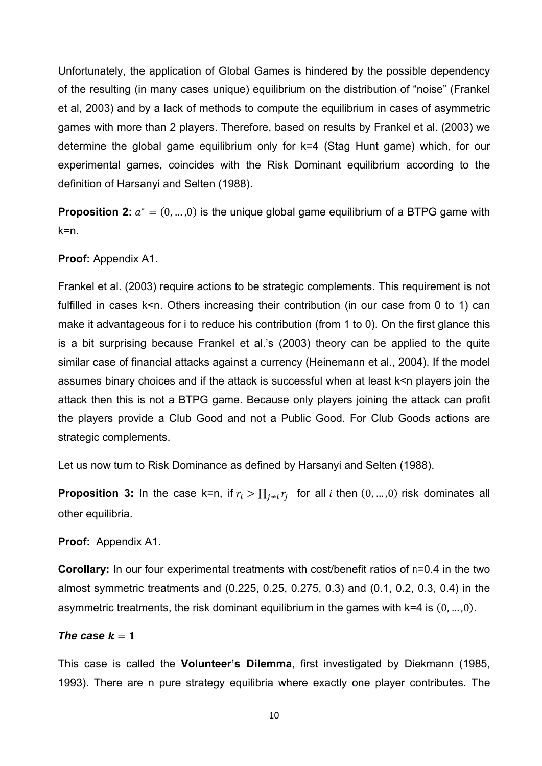Unfortunately, the application of Global Games is hindered by the possible dependency of the resulting (in many cases unique) equilibrium on the distribution of "noise" (Frankel et al, 2003) and by a lack of methods to compute the equilibrium in cases of asymmetric games with more than 2 players. Therefore, based on results by Frankel et al. (2003) we determine the global game equilibrium only for k=4 (Stag Hunt game) which, for our experimental games, coincides with the Risk Dominant equilibrium according to the definition of Harsanyi and Selten (1988).

**Proposition 2:**  $a^* = (0, ..., 0)$  is the unique global game equilibrium of a BTPG game with k=n.

## **Proof:** Appendix A1.

Frankel et al. (2003) require actions to be strategic complements. This requirement is not fulfilled in cases k<n. Others increasing their contribution (in our case from 0 to 1) can make it advantageous for i to reduce his contribution (from 1 to 0). On the first glance this is a bit surprising because Frankel et al.'s (2003) theory can be applied to the quite similar case of financial attacks against a currency (Heinemann et al., 2004). If the model assumes binary choices and if the attack is successful when at least k<n players join the attack then this is not a BTPG game. Because only players joining the attack can profit the players provide a Club Good and not a Public Good. For Club Goods actions are strategic complements.

Let us now turn to Risk Dominance as defined by Harsanyi and Selten (1988).

**Proposition 3:** In the case k=n, if  $r_i > \prod_{i \neq i} r_i$  for all *i* then  $(0, ..., 0)$  risk dominates all other equilibria.

## **Proof:** Appendix A1.

**Corollary:** In our four experimental treatments with cost/benefit ratios of r**i=0.4** in the two almost symmetric treatments and (0.225, 0.25, 0.275, 0.3) and (0.1, 0.2, 0.3, 0.4) in the asymmetric treatments, the risk dominant equilibrium in the games with k=4 is  $(0, ..., 0)$ *.* 

## *The case*  $k = 1$

This case is called the **Volunteer's Dilemma**, first investigated by Diekmann (1985, 1993). There are n pure strategy equilibria where exactly one player contributes. The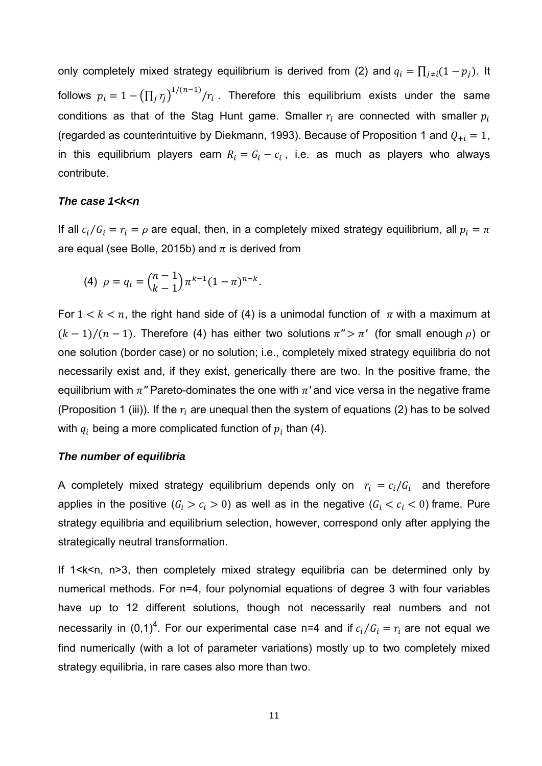only completely mixed strategy equilibrium is derived from (2) and  $q_i = \prod_{j \neq i} (1 - p_j)$ . It follows  $p_i = 1 - \left(\prod_j r_j\right)^{1/(n-1)}/r_i$  . Therefore this equilibrium exists under the same conditions as that of the Stag Hunt game. Smaller  $r_i$  are connected with smaller  $p_i$ (regarded as counterintuitive by Diekmann, 1993). Because of Proposition 1 and  $Q_{+i} = 1$ , in this equilibrium players earn  $R_i = G_i - c_i$ , i.e. as much as players who always contribute.

#### *The case 1<k<n*

If all  $c_i/G_i = r_i = \rho$  are equal, then, in a completely mixed strategy equilibrium, all  $p_i = \pi$ are equal (see Bolle, 2015b) and  $\pi$  is derived from

(4) 
$$
\rho = q_i = {n-1 \choose k-1} \pi^{k-1} (1-\pi)^{n-k}.
$$

For  $1 \leq k \leq n$ , the right hand side of (4) is a unimodal function of  $\pi$  with a maximum at  $(k-1)/(n-1)$ . Therefore (4) has either two solutions  $\pi$ <sup>*''</sup>* >  $\pi'$  (for small enough  $\rho$ ) or</sup> one solution (border case) or no solution; i.e., completely mixed strategy equilibria do not necessarily exist and, if they exist, generically there are two. In the positive frame, the equilibrium with  $\pi$ <sup>*''*</sup> Pareto-dominates the one with  $\pi$ ' and vice versa in the negative frame (Proposition 1 (iii)). If the  $r_i$  are unequal then the system of equations (2) has to be solved with  $q_i$  being a more complicated function of  $p_i$  than (4).

## *The number of equilibria*

A completely mixed strategy equilibrium depends only on  $\; r_i \; = c_i / G_i \;$  and therefore applies in the positive ( $G_i > c_i > 0$ ) as well as in the negative ( $G_i < c_i < 0$ ) frame. Pure strategy equilibria and equilibrium selection, however, correspond only after applying the strategically neutral transformation.

If 1<k<n, n>3, then completely mixed strategy equilibria can be determined only by numerical methods. For n=4, four polynomial equations of degree 3 with four variables have up to 12 different solutions, though not necessarily real numbers and not necessarily in (0,1)<sup>4</sup>. For our experimental case n=4 and if  $c_i/G_i=r_i$  are not equal we find numerically (with a lot of parameter variations) mostly up to two completely mixed strategy equilibria, in rare cases also more than two.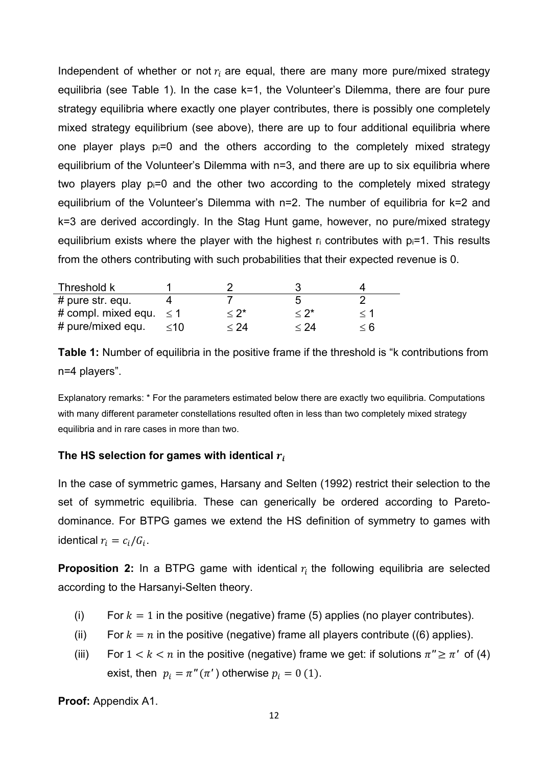Independent of whether or not  $r_i$  are equal, there are many more pure/mixed strategy equilibria (see Table 1). In the case k=1, the Volunteer's Dilemma, there are four pure strategy equilibria where exactly one player contributes, there is possibly one completely mixed strategy equilibrium (see above), there are up to four additional equilibria where one player plays  $p_i=0$  and the others according to the completely mixed strategy equilibrium of the Volunteer's Dilemma with n=3, and there are up to six equilibria where two players play pi=0 and the other two according to the completely mixed strategy equilibrium of the Volunteer's Dilemma with n=2. The number of equilibria for k=2 and k=3 are derived accordingly. In the Stag Hunt game, however, no pure/mixed strategy equilibrium exists where the player with the highest  $r_i$  contributes with  $p_i=1$ . This results from the others contributing with such probabilities that their expected revenue is 0.

| Threshold k                  |         |        |                 |     |
|------------------------------|---------|--------|-----------------|-----|
| # pure str. equ.             |         |        |                 |     |
| # compl. mixed equ. $\leq 1$ |         | $<$ 2* | *</td <td></td> |     |
| # pure/mixed equ.            | $~<$ 10 | $<$ 24 | $<$ 24 $\,$     | < 6 |

**Table 1:** Number of equilibria in the positive frame if the threshold is "k contributions from n=4 players".

Explanatory remarks: \* For the parameters estimated below there are exactly two equilibria. Computations with many different parameter constellations resulted often in less than two completely mixed strategy equilibria and in rare cases in more than two.

## The HS selection for games with identical  $r_i$

In the case of symmetric games, Harsany and Selten (1992) restrict their selection to the set of symmetric equilibria. These can generically be ordered according to Paretodominance. For BTPG games we extend the HS definition of symmetry to games with identical  $r_i = c_i/G_i$ .

**Proposition 2:** In a BTPG game with identical  $r_i$  the following equilibria are selected according to the Harsanyi-Selten theory.

- (i) For  $k = 1$  in the positive (negative) frame (5) applies (no player contributes).
- (ii) For  $k = n$  in the positive (negative) frame all players contribute ((6) applies).
- (iii) For  $1 < k < n$  in the positive (negative) frame we get: if solutions  $\pi'' \geq \pi'$  of (4) exist, then  $p_i = \pi''(\pi')$  otherwise  $p_i = 0$  (1).

**Proof:** Appendix A1.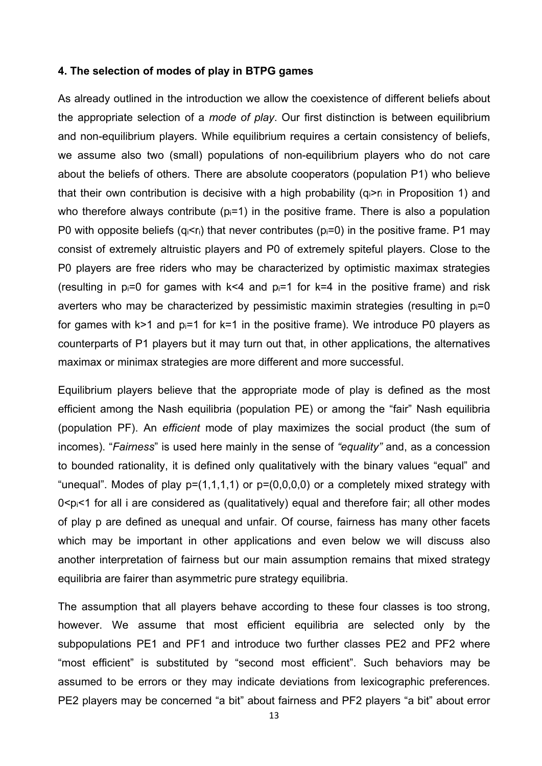## **4. The selection of modes of play in BTPG games**

As already outlined in the introduction we allow the coexistence of different beliefs about the appropriate selection of a *mode of play*. Our first distinction is between equilibrium and non-equilibrium players. While equilibrium requires a certain consistency of beliefs, we assume also two (small) populations of non-equilibrium players who do not care about the beliefs of others. There are absolute cooperators (population P1) who believe that their own contribution is decisive with a high probability  $(q_i > r_i)$  in Proposition 1) and who therefore always contribute ( $p_i=1$ ) in the positive frame. There is also a population P0 with opposite beliefs ( $q_i \le r_i$ ) that never contributes ( $p_i = 0$ ) in the positive frame. P1 may consist of extremely altruistic players and P0 of extremely spiteful players. Close to the P0 players are free riders who may be characterized by optimistic maximax strategies (resulting in  $p_i=0$  for games with k<4 and  $p_i=1$  for k=4 in the positive frame) and risk averters who may be characterized by pessimistic maximin strategies (resulting in  $p_i=0$ for games with  $k>1$  and  $p_i=1$  for  $k=1$  in the positive frame). We introduce P0 players as counterparts of P1 players but it may turn out that, in other applications, the alternatives maximax or minimax strategies are more different and more successful.

Equilibrium players believe that the appropriate mode of play is defined as the most efficient among the Nash equilibria (population PE) or among the "fair" Nash equilibria (population PF). An *efficient* mode of play maximizes the social product (the sum of incomes). "*Fairness*" is used here mainly in the sense of *"equality"* and, as a concession to bounded rationality, it is defined only qualitatively with the binary values "equal" and "unequal". Modes of play  $p=(1,1,1,1)$  or  $p=(0,0,0,0)$  or a completely mixed strategy with  $0 \le p \le 1$  for all i are considered as (qualitatively) equal and therefore fair; all other modes of play p are defined as unequal and unfair. Of course, fairness has many other facets which may be important in other applications and even below we will discuss also another interpretation of fairness but our main assumption remains that mixed strategy equilibria are fairer than asymmetric pure strategy equilibria.

The assumption that all players behave according to these four classes is too strong, however. We assume that most efficient equilibria are selected only by the subpopulations PE1 and PF1 and introduce two further classes PE2 and PF2 where "most efficient" is substituted by "second most efficient". Such behaviors may be assumed to be errors or they may indicate deviations from lexicographic preferences. PE2 players may be concerned "a bit" about fairness and PF2 players "a bit" about error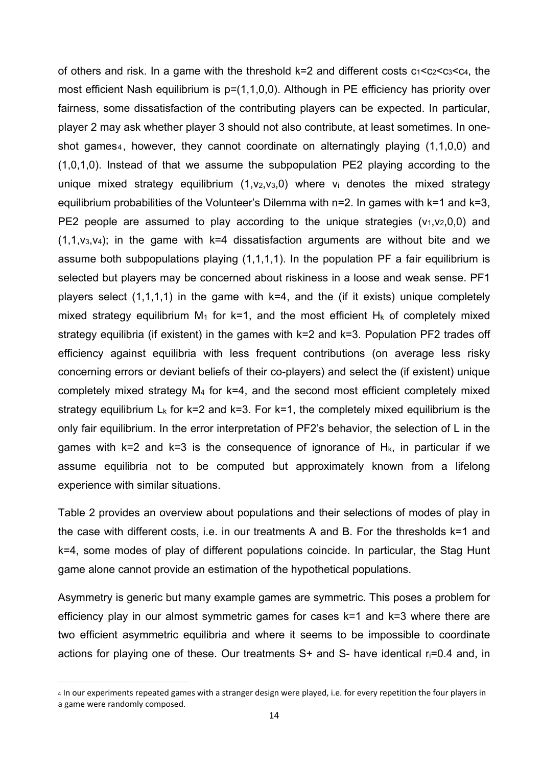of others and risk. In a game with the threshold  $k=2$  and different costs  $c_1 < c_2 < c_3 < c_4$ , the most efficient Nash equilibrium is  $p=(1,1,0,0)$ . Although in PE efficiency has priority over fairness, some dissatisfaction of the contributing players can be expected. In particular, player 2 may ask whether player 3 should not also contribute, at least sometimes. In oneshot games<sub>4</sub>, however, they cannot coordinate on alternatingly playing (1,1,0,0) and (1,0,1,0). Instead of that we assume the subpopulation PE2 playing according to the unique mixed strategy equilibrium  $(1,v_2,v_3,0)$  where  $v_i$  denotes the mixed strategy equilibrium probabilities of the Volunteer's Dilemma with n=2. In games with k=1 and k=3, PE2 people are assumed to play according to the unique strategies  $(v_1,v_2,0,0)$  and  $(1,1,v<sub>3</sub>,v<sub>4</sub>)$ ; in the game with k=4 dissatisfaction arguments are without bite and we assume both subpopulations playing (1,1,1,1). In the population PF a fair equilibrium is selected but players may be concerned about riskiness in a loose and weak sense. PF1 players select  $(1,1,1,1)$  in the game with  $k=4$ , and the (if it exists) unique completely mixed strategy equilibrium  $M_1$  for k=1, and the most efficient  $H_k$  of completely mixed strategy equilibria (if existent) in the games with k=2 and k=3. Population PF2 trades off efficiency against equilibria with less frequent contributions (on average less risky concerning errors or deviant beliefs of their co-players) and select the (if existent) unique completely mixed strategy M4 for k=4, and the second most efficient completely mixed strategy equilibrium  $L_k$  for k=2 and k=3. For k=1, the completely mixed equilibrium is the only fair equilibrium. In the error interpretation of PF2's behavior, the selection of L in the games with  $k=2$  and  $k=3$  is the consequence of ignorance of  $H_k$ , in particular if we assume equilibria not to be computed but approximately known from a lifelong experience with similar situations.

Table 2 provides an overview about populations and their selections of modes of play in the case with different costs, i.e. in our treatments A and B. For the thresholds k=1 and k=4, some modes of play of different populations coincide. In particular, the Stag Hunt game alone cannot provide an estimation of the hypothetical populations.

Asymmetry is generic but many example games are symmetric. This poses a problem for efficiency play in our almost symmetric games for cases k=1 and k=3 where there are two efficient asymmetric equilibria and where it seems to be impossible to coordinate actions for playing one of these. Our treatments  $S<sup>+</sup>$  and  $S<sup>-</sup>$  have identical  $r_i=0.4$  and, in

<sup>4</sup> In our experiments repeated games with a stranger design were played, i.e. for every repetition the four players in a game were randomly composed.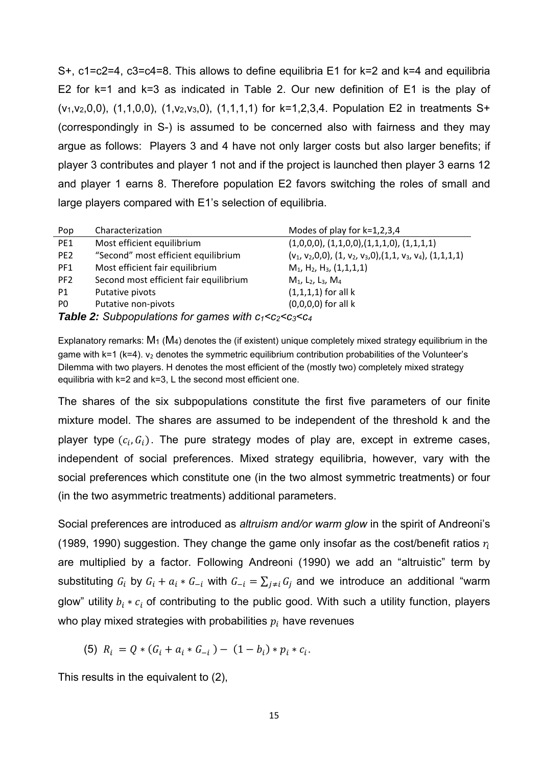S+, c1=c2=4, c3=c4=8. This allows to define equilibria E1 for k=2 and k=4 and equilibria E2 for k=1 and k=3 as indicated in Table 2. Our new definition of E1 is the play of (v<sub>1</sub>, v<sub>2</sub>, 0, 0), (1, 1, 0, 0), (1, v<sub>2</sub>, v<sub>3</sub>, 0), (1, 1, 1, 1) for k=1, 2, 3, 4. Population E2 in treatments S+ (correspondingly in S-) is assumed to be concerned also with fairness and they may argue as follows: Players 3 and 4 have not only larger costs but also larger benefits; if player 3 contributes and player 1 not and if the project is launched then player 3 earns 12 and player 1 earns 8. Therefore population E2 favors switching the roles of small and large players compared with E1's selection of equilibria.

| Pop                                                                   | Characterization                       | Modes of play for $k=1,2,3,4$                                        |  |  |  |  |
|-----------------------------------------------------------------------|----------------------------------------|----------------------------------------------------------------------|--|--|--|--|
| PE1                                                                   | Most efficient equilibrium             | $(1,0,0,0), (1,1,0,0), (1,1,1,0), (1,1,1,1)$                         |  |  |  |  |
| PE <sub>2</sub>                                                       | "Second" most efficient equilibrium    | $(v_1, v_2, 0, 0), (1, v_2, v_3, 0), (1, 1, v_3, v_4), (1, 1, 1, 1)$ |  |  |  |  |
| PF1                                                                   | Most efficient fair equilibrium        | $M_1$ , H <sub>2</sub> , H <sub>3</sub> , (1,1,1,1)                  |  |  |  |  |
| PF <sub>2</sub>                                                       | Second most efficient fair equilibrium | $M_1$ , L <sub>2</sub> , L <sub>3</sub> , M <sub>4</sub>             |  |  |  |  |
| P1                                                                    | Putative pivots                        | $(1,1,1,1)$ for all k                                                |  |  |  |  |
| P <sub>0</sub>                                                        | Putative non-pivots                    | $(0,0,0,0)$ for all k                                                |  |  |  |  |
| <b>Table 2:</b> Subpopulations for games with $c_1 < c_2 < c_3 < c_4$ |                                        |                                                                      |  |  |  |  |

Explanatory remarks:  $M_1$  ( $M_4$ ) denotes the (if existent) unique completely mixed strategy equilibrium in the game with  $k=1$  ( $k=4$ ).  $v_2$  denotes the symmetric equilibrium contribution probabilities of the Volunteer's Dilemma with two players. H denotes the most efficient of the (mostly two) completely mixed strategy equilibria with k=2 and k=3, L the second most efficient one.

The shares of the six subpopulations constitute the first five parameters of our finite mixture model. The shares are assumed to be independent of the threshold k and the player type  $(c_i, G_i)$ . The pure strategy modes of play are, except in extreme cases, independent of social preferences. Mixed strategy equilibria, however, vary with the social preferences which constitute one (in the two almost symmetric treatments) or four (in the two asymmetric treatments) additional parameters.

Social preferences are introduced as *altruism and/or warm glow* in the spirit of Andreoni's (1989, 1990) suggestion. They change the game only insofar as the cost/benefit ratios  $r_i$ are multiplied by a factor. Following Andreoni (1990) we add an "altruistic" term by substituting  $G_i$  by  $G_i + a_i * G_{-i}$  with  $G_{-i} = \sum_{i \neq i} G_i$  and we introduce an additional "warm glow" utility  $b_i * c_i$  of contributing to the public good. With such a utility function, players who play mixed strategies with probabilities  $p_i$  have revenues

(5) 
$$
R_i = Q * (G_i + a_i * G_{-i}) - (1 - b_i) * p_i * c_i
$$
.

This results in the equivalent to (2),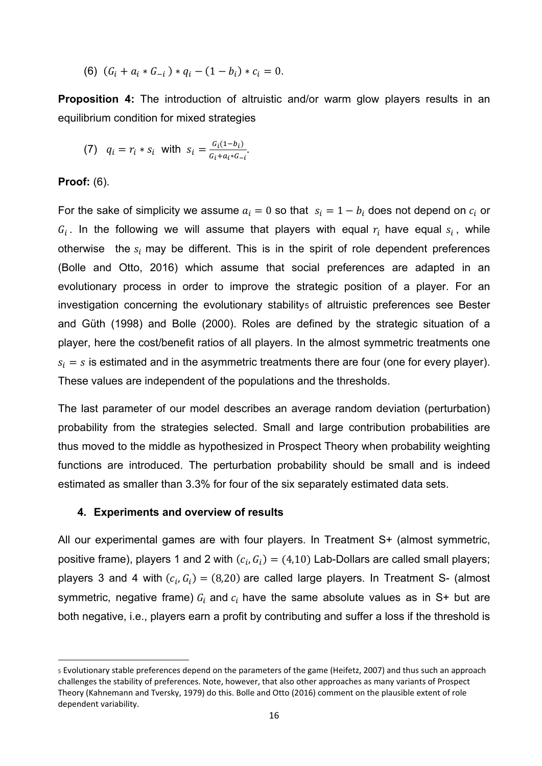(6)  $(G_i + a_i * G_{-i}) * q_i - (1 - b_i) * c_i = 0.$ 

**Proposition 4:** The introduction of altruistic and/or warm glow players results in an equilibrium condition for mixed strategies

(7) 
$$
q_i = r_i * s_i
$$
 with  $s_i = \frac{G_i(1-b_i)}{G_i + a_i * G_{-i}}$ .

## **Proof:** (6).

For the sake of simplicity we assume  $a_i = 0$  so that  $s_i = 1 - b_i$  does not depend on  $c_i$  or  $G_i$ . In the following we will assume that players with equal  $r_i$  have equal  $s_i$ , while otherwise the  $s_i$  may be different. This is in the spirit of role dependent preferences (Bolle and Otto, 2016) which assume that social preferences are adapted in an evolutionary process in order to improve the strategic position of a player. For an investigation concerning the evolutionary stability<sub>5</sub> of altruistic preferences see Bester and Güth (1998) and Bolle (2000). Roles are defined by the strategic situation of a player, here the cost/benefit ratios of all players. In the almost symmetric treatments one  $s_i = s$  is estimated and in the asymmetric treatments there are four (one for every player). These values are independent of the populations and the thresholds.

The last parameter of our model describes an average random deviation (perturbation) probability from the strategies selected. Small and large contribution probabilities are thus moved to the middle as hypothesized in Prospect Theory when probability weighting functions are introduced. The perturbation probability should be small and is indeed estimated as smaller than 3.3% for four of the six separately estimated data sets.

## **4. Experiments and overview of results**

All our experimental games are with four players. In Treatment S+ (almost symmetric, positive frame), players 1 and 2 with  $(c_i, G_i) = (4,10)$  Lab-Dollars are called small players; players 3 and 4 with  $(c_i, G_i) = (8,20)$  are called large players. In Treatment S- (almost symmetric, negative frame)  $G_i$  and  $c_i$  have the same absolute values as in S+ but are both negative, i.e., players earn a profit by contributing and suffer a loss if the threshold is

<sup>5</sup> Evolutionary stable preferences depend on the parameters of the game (Heifetz, 2007) and thus such an approach challenges the stability of preferences. Note, however, that also other approaches as many variants of Prospect Theory (Kahnemann and Tversky, 1979) do this. Bolle and Otto (2016) comment on the plausible extent of role dependent variability.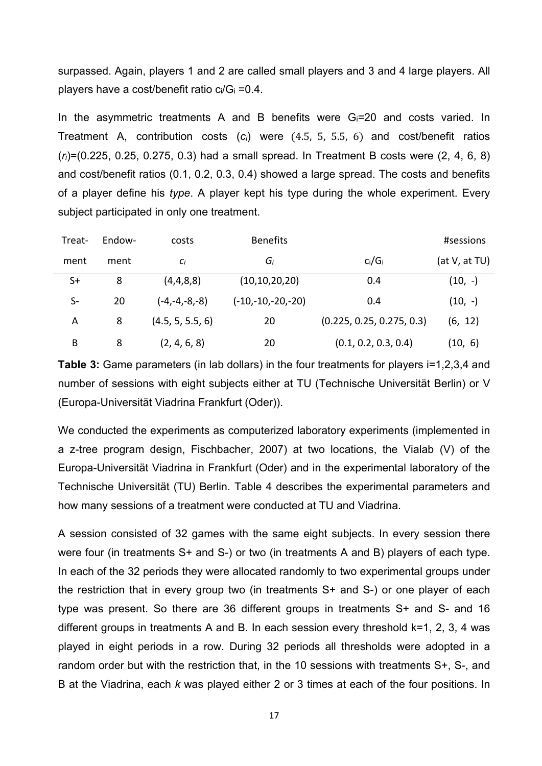surpassed. Again, players 1 and 2 are called small players and 3 and 4 large players. All players have a cost/benefit ratio  $c_i/G_i = 0.4$ .

In the asymmetric treatments A and B benefits were Gi=20 and costs varied. In Treatment A, contribution costs  $(c_i)$  were  $(4.5, 5, 5.5, 6)$  and cost/benefit ratios (*ri*)=(0.225, 0.25, 0.275, 0.3) had a small spread. In Treatment B costs were (2, 4, 6, 8) and cost/benefit ratios (0.1, 0.2, 0.3, 0.4) showed a large spread. The costs and benefits of a player define his *type*. A player kept his type during the whole experiment. Every subject participated in only one treatment.

| Treat- | Endow- | costs            | <b>Benefits</b>     |                           | #sessions     |
|--------|--------|------------------|---------------------|---------------------------|---------------|
| ment   | ment   | $C_i$            | Gi                  | $c_i/G_i$                 | (at V, at TU) |
| $S+$   | 8      | (4,4,8,8)        | (10, 10, 20, 20)    | 0.4                       | $(10, -)$     |
| $S-$   | 20     | $(-4,-4,-8,-8)$  | $(-10,-10,-20,-20)$ | 0.4                       | $(10, -)$     |
| Α      | 8      | (4.5, 5, 5.5, 6) | 20                  | (0.225, 0.25, 0.275, 0.3) | (6, 12)       |
| B      | 8      | (2, 4, 6, 8)     | 20                  | (0.1, 0.2, 0.3, 0.4)      | (10, 6)       |

**Table 3:** Game parameters (in lab dollars) in the four treatments for players i=1,2,3,4 and number of sessions with eight subjects either at TU (Technische Universität Berlin) or V (Europa-Universität Viadrina Frankfurt (Oder)).

We conducted the experiments as computerized laboratory experiments (implemented in a z-tree program design, Fischbacher, 2007) at two locations, the Vialab (V) of the Europa-Universität Viadrina in Frankfurt (Oder) and in the experimental laboratory of the Technische Universität (TU) Berlin. Table 4 describes the experimental parameters and how many sessions of a treatment were conducted at TU and Viadrina.

A session consisted of 32 games with the same eight subjects. In every session there were four (in treatments S+ and S-) or two (in treatments A and B) players of each type. In each of the 32 periods they were allocated randomly to two experimental groups under the restriction that in every group two (in treatments S+ and S-) or one player of each type was present. So there are 36 different groups in treatments S+ and S- and 16 different groups in treatments A and B. In each session every threshold k=1, 2, 3, 4 was played in eight periods in a row. During 32 periods all thresholds were adopted in a random order but with the restriction that, in the 10 sessions with treatments S+, S-, and B at the Viadrina, each *k* was played either 2 or 3 times at each of the four positions. In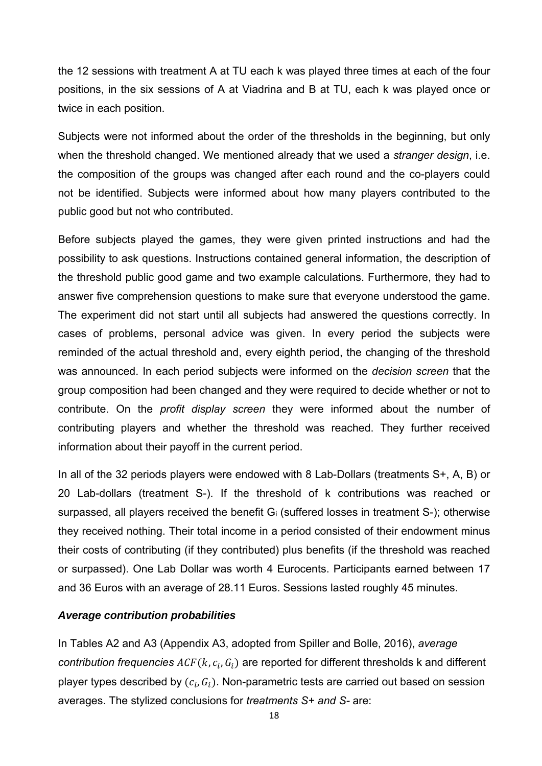the 12 sessions with treatment A at TU each k was played three times at each of the four positions, in the six sessions of A at Viadrina and B at TU, each k was played once or twice in each position.

Subjects were not informed about the order of the thresholds in the beginning, but only when the threshold changed. We mentioned already that we used a *stranger design*, i.e. the composition of the groups was changed after each round and the co-players could not be identified. Subjects were informed about how many players contributed to the public good but not who contributed.

Before subjects played the games, they were given printed instructions and had the possibility to ask questions. Instructions contained general information, the description of the threshold public good game and two example calculations. Furthermore, they had to answer five comprehension questions to make sure that everyone understood the game. The experiment did not start until all subjects had answered the questions correctly. In cases of problems, personal advice was given. In every period the subjects were reminded of the actual threshold and, every eighth period, the changing of the threshold was announced. In each period subjects were informed on the *decision screen* that the group composition had been changed and they were required to decide whether or not to contribute. On the *profit display screen* they were informed about the number of contributing players and whether the threshold was reached. They further received information about their payoff in the current period.

In all of the 32 periods players were endowed with 8 Lab-Dollars (treatments S+, A, B) or 20 Lab-dollars (treatment S-). If the threshold of k contributions was reached or surpassed, all players received the benefit  $G_i$  (suffered losses in treatment S-); otherwise they received nothing. Their total income in a period consisted of their endowment minus their costs of contributing (if they contributed) plus benefits (if the threshold was reached or surpassed). One Lab Dollar was worth 4 Eurocents. Participants earned between 17 and 36 Euros with an average of 28.11 Euros. Sessions lasted roughly 45 minutes.

## *Average contribution probabilities*

In Tables A2 and A3 (Appendix A3, adopted from Spiller and Bolle, 2016), *average contribution frequencies*  $ACF(k, c_i, G_i)$  are reported for different thresholds k and different player types described by  $(c_i, G_i)$ . Non-parametric tests are carried out based on session averages. The stylized conclusions for *treatments S+ and S-* are: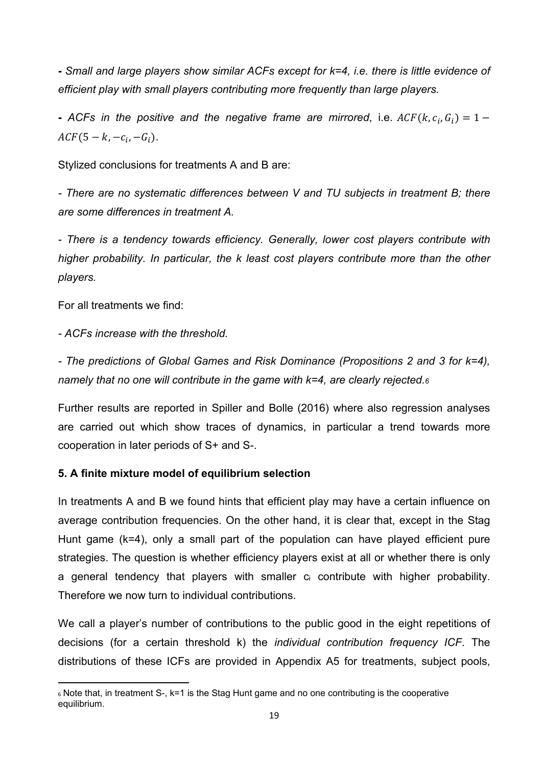**-** *Small and large players show similar ACFs except for k=4, i.e. there is little evidence of efficient play with small players contributing more frequently than large players.*

**-** *ACFs in the positive and the negative frame are mirrored, i.e.*  $ACF(k, c_i, G_i) = 1 ACF(5 - k, -c_i, -G_i).$ 

Stylized conclusions for treatments A and B are:

*- There are no systematic differences between V and TU subjects in treatment B; there are some differences in treatment A.* 

*- There is a tendency towards efficiency. Generally, lower cost players contribute with higher probability. In particular, the k least cost players contribute more than the other players.* 

For all treatments we find:

*- ACFs increase with the threshold.* 

*- The predictions of Global Games and Risk Dominance (Propositions 2 and 3 for k=4), namely that no one will contribute in the game with k=4, are clearly rejected.6*

Further results are reported in Spiller and Bolle (2016) where also regression analyses are carried out which show traces of dynamics, in particular a trend towards more cooperation in later periods of S+ and S-.

## **5. A finite mixture model of equilibrium selection**

In treatments A and B we found hints that efficient play may have a certain influence on average contribution frequencies. On the other hand, it is clear that, except in the Stag Hunt game (k=4), only a small part of the population can have played efficient pure strategies. The question is whether efficiency players exist at all or whether there is only a general tendency that players with smaller ci contribute with higher probability. Therefore we now turn to individual contributions.

We call a player's number of contributions to the public good in the eight repetitions of decisions (for a certain threshold k) the *individual contribution frequency ICF*. The distributions of these ICFs are provided in Appendix A5 for treatments, subject pools,

 <sup>6</sup> Note that, in treatment S-, k=1 is the Stag Hunt game and no one contributing is the cooperative equilibrium.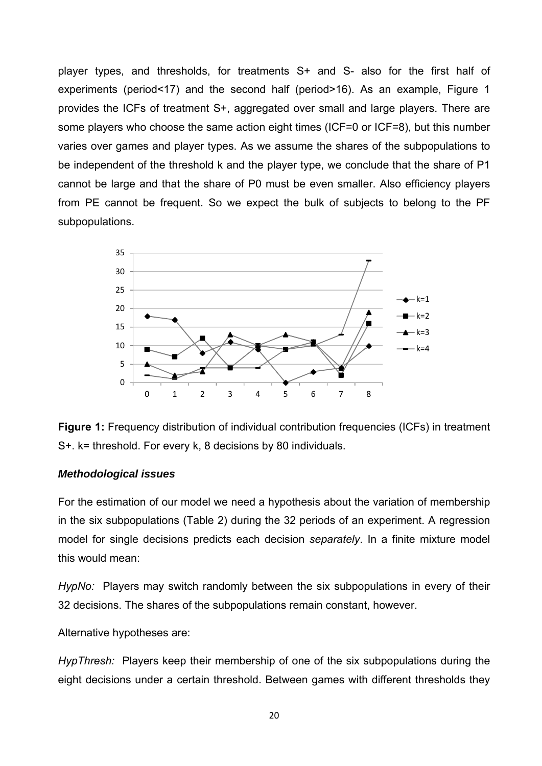player types, and thresholds, for treatments S+ and S- also for the first half of experiments (period<17) and the second half (period>16). As an example, Figure 1 provides the ICFs of treatment S+, aggregated over small and large players. There are some players who choose the same action eight times (ICF=0 or ICF=8), but this number varies over games and player types. As we assume the shares of the subpopulations to be independent of the threshold k and the player type, we conclude that the share of P1 cannot be large and that the share of P0 must be even smaller. Also efficiency players from PE cannot be frequent. So we expect the bulk of subjects to belong to the PF subpopulations.



**Figure 1:** Frequency distribution of individual contribution frequencies (ICFs) in treatment S+. k= threshold. For every k, 8 decisions by 80 individuals.

## *Methodological issues*

For the estimation of our model we need a hypothesis about the variation of membership in the six subpopulations (Table 2) during the 32 periods of an experiment. A regression model for single decisions predicts each decision *separately*. In a finite mixture model this would mean:

*HypNo:* Players may switch randomly between the six subpopulations in every of their 32 decisions. The shares of the subpopulations remain constant, however.

Alternative hypotheses are:

*HypThresh:* Players keep their membership of one of the six subpopulations during the eight decisions under a certain threshold. Between games with different thresholds they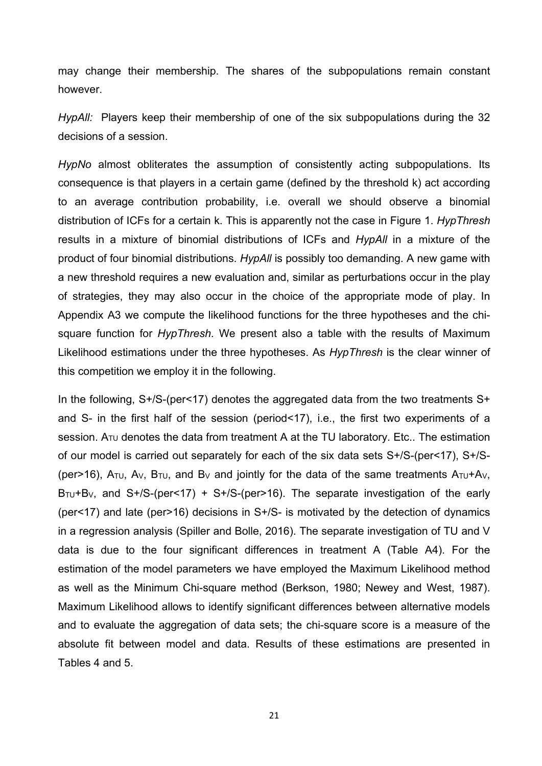may change their membership. The shares of the subpopulations remain constant however.

*HypAll:* Players keep their membership of one of the six subpopulations during the 32 decisions of a session.

*HypNo* almost obliterates the assumption of consistently acting subpopulations. Its consequence is that players in a certain game (defined by the threshold k) act according to an average contribution probability, i.e. overall we should observe a binomial distribution of ICFs for a certain k. This is apparently not the case in Figure 1. *HypThresh* results in a mixture of binomial distributions of ICFs and *HypAll* in a mixture of the product of four binomial distributions. *HypAll* is possibly too demanding. A new game with a new threshold requires a new evaluation and, similar as perturbations occur in the play of strategies, they may also occur in the choice of the appropriate mode of play. In Appendix A3 we compute the likelihood functions for the three hypotheses and the chisquare function for *HypThresh*. We present also a table with the results of Maximum Likelihood estimations under the three hypotheses. As *HypThresh* is the clear winner of this competition we employ it in the following.

In the following, S+/S-(per<17) denotes the aggregated data from the two treatments S+ and S- in the first half of the session (period<17), i.e., the first two experiments of a session.  $A_{\text{TU}}$  denotes the data from treatment A at the TU laboratory. Etc.. The estimation of our model is carried out separately for each of the six data sets S+/S-(per<17), S+/S- (per>16),  $A_{\text{TU}}$ ,  $A_{\text{V}}$ ,  $B_{\text{TU}}$ , and  $B_{\text{V}}$  and jointly for the data of the same treatments  $A_{\text{TU}}+A_{\text{V}}$ .  $B_{\text{TU}}+B_{\text{V}}$ , and S+/S-(per<17) + S+/S-(per>16). The separate investigation of the early (per<17) and late (per>16) decisions in S+/S- is motivated by the detection of dynamics in a regression analysis (Spiller and Bolle, 2016). The separate investigation of TU and V data is due to the four significant differences in treatment A (Table A4). For the estimation of the model parameters we have employed the Maximum Likelihood method as well as the Minimum Chi-square method (Berkson, 1980; Newey and West, 1987). Maximum Likelihood allows to identify significant differences between alternative models and to evaluate the aggregation of data sets; the chi-square score is a measure of the absolute fit between model and data. Results of these estimations are presented in Tables 4 and 5.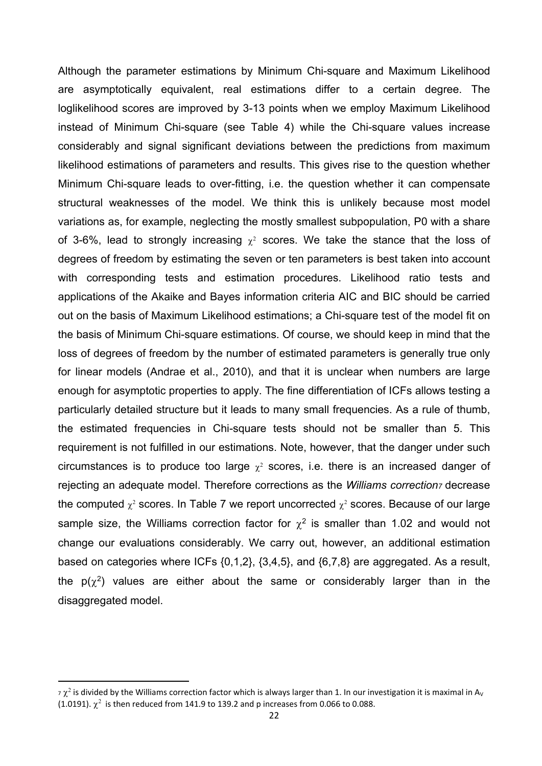Although the parameter estimations by Minimum Chi-square and Maximum Likelihood are asymptotically equivalent, real estimations differ to a certain degree. The loglikelihood scores are improved by 3-13 points when we employ Maximum Likelihood instead of Minimum Chi-square (see Table 4) while the Chi-square values increase considerably and signal significant deviations between the predictions from maximum likelihood estimations of parameters and results. This gives rise to the question whether Minimum Chi-square leads to over-fitting, i.e. the question whether it can compensate structural weaknesses of the model. We think this is unlikely because most model variations as, for example, neglecting the mostly smallest subpopulation, P0 with a share of 3-6%, lead to strongly increasing  $\chi^2$  scores. We take the stance that the loss of degrees of freedom by estimating the seven or ten parameters is best taken into account with corresponding tests and estimation procedures. Likelihood ratio tests and applications of the Akaike and Bayes information criteria AIC and BIC should be carried out on the basis of Maximum Likelihood estimations; a Chi-square test of the model fit on the basis of Minimum Chi-square estimations. Of course, we should keep in mind that the loss of degrees of freedom by the number of estimated parameters is generally true only for linear models (Andrae et al., 2010), and that it is unclear when numbers are large enough for asymptotic properties to apply. The fine differentiation of ICFs allows testing a particularly detailed structure but it leads to many small frequencies. As a rule of thumb, the estimated frequencies in Chi-square tests should not be smaller than 5. This requirement is not fulfilled in our estimations. Note, however, that the danger under such circumstances is to produce too large  $\chi^2$  scores, i.e. there is an increased danger of rejecting an adequate model. Therefore corrections as the *Williams correction7* decrease the computed  $\chi^2$  scores. In Table 7 we report uncorrected  $\chi^2$  scores. Because of our large sample size, the Williams correction factor for  $\gamma^2$  is smaller than 1.02 and would not change our evaluations considerably. We carry out, however, an additional estimation based on categories where ICFs {0,1,2}, {3,4,5}, and {6,7,8} are aggregated. As a result, the  $p(\chi^2)$  values are either about the same or considerably larger than in the disaggregated model.

 $\sigma\,\chi^2$  is divided by the Williams correction factor which is always larger than 1. In our investigation it is maximal in A<sub>v</sub> (1.0191).  $\chi^2$  is then reduced from 141.9 to 139.2 and p increases from 0.066 to 0.088.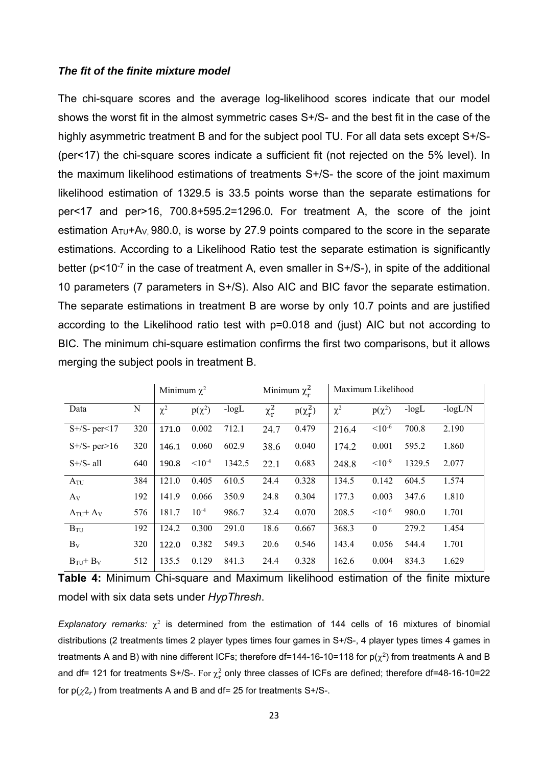## *The fit of the finite mixture model*

The chi-square scores and the average log-likelihood scores indicate that our model shows the worst fit in the almost symmetric cases S+/S- and the best fit in the case of the highly asymmetric treatment B and for the subject pool TU. For all data sets except S+/S-(per<17) the chi-square scores indicate a sufficient fit (not rejected on the 5% level). In the maximum likelihood estimations of treatments S+/S- the score of the joint maximum likelihood estimation of 1329.5 is 33.5 points worse than the separate estimations for per<17 and per>16, 700.8+595.2=1296.0**.** For treatment A, the score of the joint estimation  $A_{\text{TU}}+A_{\text{V}}$ , 980.0, is worse by 27.9 points compared to the score in the separate estimations. According to a Likelihood Ratio test the separate estimation is significantly better ( $p$ <10 $^{-7}$  in the case of treatment A, even smaller in S+/S-), in spite of the additional 10 parameters (7 parameters in S+/S). Also AIC and BIC favor the separate estimation. The separate estimations in treatment B are worse by only 10.7 points and are justified according to the Likelihood ratio test with p=0.018 and (just) AIC but not according to BIC. The minimum chi-square estimation confirms the first two comparisons, but it allows merging the subject pools in treatment B.

|                              |     | Minimum $\chi^2$ |             |         |            | Minimum $\chi_r^2$ |          | Maximum Likelihood |         |           |
|------------------------------|-----|------------------|-------------|---------|------------|--------------------|----------|--------------------|---------|-----------|
| Data                         | N   | $\chi^2$         | $p(\chi^2)$ | $-logL$ | $\chi_r^2$ | $p(\chi_r^2)$      | $\chi^2$ | $p(\chi^2)$        | $-logL$ | $-logL/N$ |
| $S + /S - per < 17$          | 320 | 171.0            | 0.002       | 712.1   | 24.7       | 0.479              | 216.4    | $< 10^{-6}$        | 700.8   | 2.190     |
| $S + /S - per > 16$          | 320 | 146.1            | 0.060       | 602.9   | 38.6       | 0.040              | 174.2    | 0.001              | 595.2   | 1.860     |
| $S + /S - a$ ll              | 640 | 190.8            | $< 10^{-4}$ | 1342.5  | 22.1       | 0.683              | 248.8    | $10^{-9}$          | 1329.5  | 2.077     |
| $A_{\text{TU}}$              | 384 | 121.0            | 0.405       | 610.5   | 24.4       | 0.328              | 134.5    | 0.142              | 604.5   | 1.574     |
| $A_V$                        | 192 | 141.9            | 0.066       | 350.9   | 24.8       | 0.304              | 177.3    | 0.003              | 347.6   | 1.810     |
| $A_{TU}$ + $A_V$             | 576 | 181.7            | $10^{-4}$   | 986.7   | 32.4       | 0.070              | 208.5    | $< 10^{-6}$        | 980.0   | 1.701     |
| $B_{\text{TU}}$              | 192 | 124.2            | 0.300       | 291.0   | 18.6       | 0.667              | 368.3    | $\theta$           | 279.2   | 1.454     |
| $B_V$                        | 320 | 122.0            | 0.382       | 549.3   | 20.6       | 0.546              | 143.4    | 0.056              | 544.4   | 1.701     |
| $B_{\text{TU}}+B_{\text{V}}$ | 512 | 135.5            | 0.129       | 841.3   | 24.4       | 0.328              | 162.6    | 0.004              | 834.3   | 1.629     |

|  | Table 4: Minimum Chi-square and Maximum likelihood estimation of the finite mixture |  |  |  |  |
|--|-------------------------------------------------------------------------------------|--|--|--|--|
|  | model with six data sets under HypThresh.                                           |  |  |  |  |

*Explanatory remarks:*  $\chi^2$  is determined from the estimation of 144 cells of 16 mixtures of binomial distributions (2 treatments times 2 player types times four games in S+/S-, 4 player types times 4 games in treatments A and B) with nine different ICFs; therefore df=144-16-10=118 for  $p(\chi^2)$  from treatments A and B and df= 121 for treatments S+/S-. For  $\chi^2_{\rm r}$  only three classes of ICFs are defined; therefore df=48-16-10=22 for  $p(\chi^2_r)$  from treatments A and B and df= 25 for treatments S+/S-.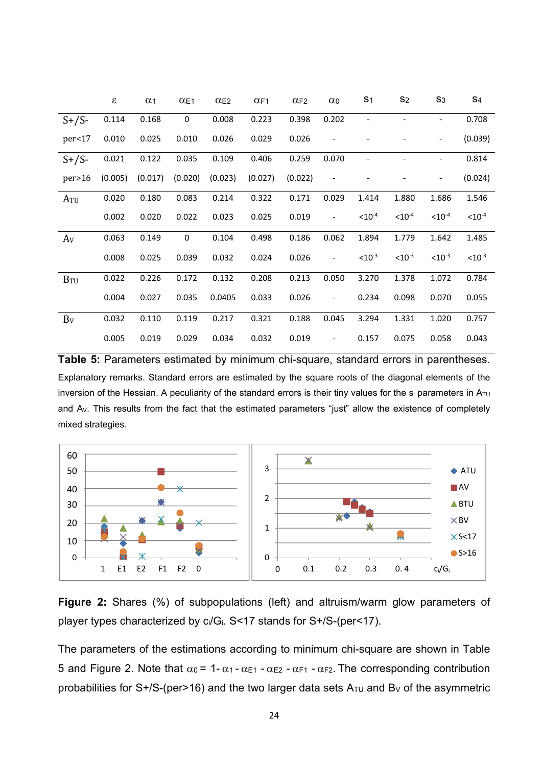|                 | $\boldsymbol{\varepsilon}$ | $\alpha_1$ | $\alpha$ E1 | $\alpha$ E <sub>2</sub> | $\alpha$ F1 | CF2     | $\alpha$ <sub>0</sub>        | S <sub>1</sub> | S <sub>2</sub> | $S_3$       | S <sub>4</sub> |
|-----------------|----------------------------|------------|-------------|-------------------------|-------------|---------|------------------------------|----------------|----------------|-------------|----------------|
| $S+/S-$         | 0.114                      | 0.168      | 0           | 0.008                   | 0.223       | 0.398   | 0.202                        |                |                |             | 0.708          |
| per<17          | 0.010                      | 0.025      | 0.010       | 0.026                   | 0.029       | 0.026   |                              |                |                | -           | (0.039)        |
| $S+/S-$         | 0.021                      | 0.122      | 0.035       | 0.109                   | 0.406       | 0.259   | 0.070                        |                |                |             | 0.814          |
| per>16          | (0.005)                    | (0.017)    | (0.020)     | (0.023)                 | (0.027)     | (0.022) | $\qquad \qquad \blacksquare$ |                |                | -           | (0.024)        |
| A <sub>TU</sub> | 0.020                      | 0.180      | 0.083       | 0.214                   | 0.322       | 0.171   | 0.029                        | 1.414          | 1.880          | 1.686       | 1.546          |
|                 | 0.002                      | 0.020      | 0.022       | 0.023                   | 0.025       | 0.019   | $\overline{\phantom{0}}$     | $< 10^{-4}$    | $< 10^{-4}$    | $< 10^{-4}$ | $< 10^{-4}$    |
| A <sub>V</sub>  | 0.063                      | 0.149      | 0           | 0.104                   | 0.498       | 0.186   | 0.062                        | 1.894          | 1.779          | 1.642       | 1.485          |
|                 | 0.008                      | 0.025      | 0.039       | 0.032                   | 0.024       | 0.026   | $\overline{\phantom{0}}$     | $< 10^{-3}$    | $< 10^{-3}$    | $< 10^{-3}$ | $< 10^{-3}$    |
| $B_{\rm TU}$    | 0.022                      | 0.226      | 0.172       | 0.132                   | 0.208       | 0.213   | 0.050                        | 3.270          | 1.378          | 1.072       | 0.784          |
|                 | 0.004                      | 0.027      | 0.035       | 0.0405                  | 0.033       | 0.026   | $\overline{\phantom{a}}$     | 0.234          | 0.098          | 0.070       | 0.055          |
| Bv              | 0.032                      | 0.110      | 0.119       | 0.217                   | 0.321       | 0.188   | 0.045                        | 3.294          | 1.331          | 1.020       | 0.757          |
|                 | 0.005                      | 0.019      | 0.029       | 0.034                   | 0.032       | 0.019   | $\qquad \qquad \blacksquare$ | 0.157          | 0.075          | 0.058       | 0.043          |

**Table 5:** Parameters estimated by minimum chi-square, standard errors in parentheses. Explanatory remarks. Standard errors are estimated by the square roots of the diagonal elements of the inversion of the Hessian. A peculiarity of the standard errors is their tiny values for the  $s_i$  parameters in  $A_{\tau U}$ and AV. This results from the fact that the estimated parameters "just" allow the existence of completely mixed strategies.



**Figure 2:** Shares (%) of subpopulations (left) and altruism/warm glow parameters of player types characterized by ci/Gi. S<17 stands for S+/S-(per<17).

The parameters of the estimations according to minimum chi-square are shown in Table 5 and Figure 2. Note that  $\alpha_0 = 1 - \alpha_1 - \alpha_{E1} - \alpha_{E2} - \alpha_{F1} - \alpha_{F2}$ . The corresponding contribution probabilities for S+/S-(per>16) and the two larger data sets  $A<sub>TU</sub>$  and B<sub>V</sub> of the asymmetric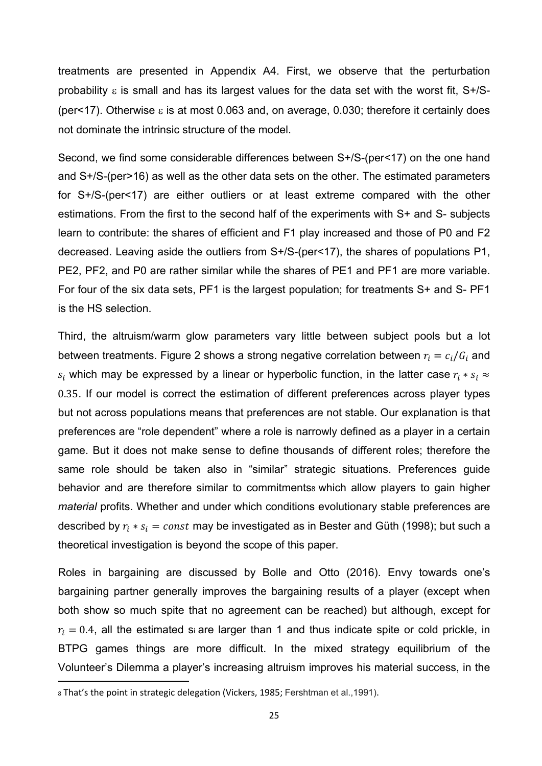treatments are presented in Appendix A4. First, we observe that the perturbation probability  $\epsilon$  is small and has its largest values for the data set with the worst fit, S+/S-(per<17). Otherwise  $\epsilon$  is at most 0.063 and, on average, 0.030; therefore it certainly does not dominate the intrinsic structure of the model.

Second, we find some considerable differences between S+/S-(per<17) on the one hand and S+/S-(per>16) as well as the other data sets on the other. The estimated parameters for S+/S-(per<17) are either outliers or at least extreme compared with the other estimations. From the first to the second half of the experiments with S+ and S- subjects learn to contribute: the shares of efficient and F1 play increased and those of P0 and F2 decreased. Leaving aside the outliers from S+/S-(per<17), the shares of populations P1, PE2, PF2, and P0 are rather similar while the shares of PE1 and PF1 are more variable. For four of the six data sets, PF1 is the largest population; for treatments S+ and S- PF1 is the HS selection.

Third, the altruism/warm glow parameters vary little between subject pools but a lot between treatments. Figure 2 shows a strong negative correlation between  $r_i = c_i/G_i$  and  $s_i$  which may be expressed by a linear or hyperbolic function, in the latter case  $r_i * s_i \approx$ 0.35. If our model is correct the estimation of different preferences across player types but not across populations means that preferences are not stable. Our explanation is that preferences are "role dependent" where a role is narrowly defined as a player in a certain game. But it does not make sense to define thousands of different roles; therefore the same role should be taken also in "similar" strategic situations. Preferences guide behavior and are therefore similar to commitments which allow players to gain higher *material* profits. Whether and under which conditions evolutionary stable preferences are described by  $r_i \ast s_i = const$  may be investigated as in Bester and Güth (1998); but such a theoretical investigation is beyond the scope of this paper.

Roles in bargaining are discussed by Bolle and Otto (2016). Envy towards one's bargaining partner generally improves the bargaining results of a player (except when both show so much spite that no agreement can be reached) but although, except for  $r_i = 0.4$ , all the estimated si are larger than 1 and thus indicate spite or cold prickle, in BTPG games things are more difficult. In the mixed strategy equilibrium of the Volunteer's Dilemma a player's increasing altruism improves his material success, in the

<sup>8</sup> That's the point in strategic delegation (Vickers, 1985; Fershtman et al.,1991).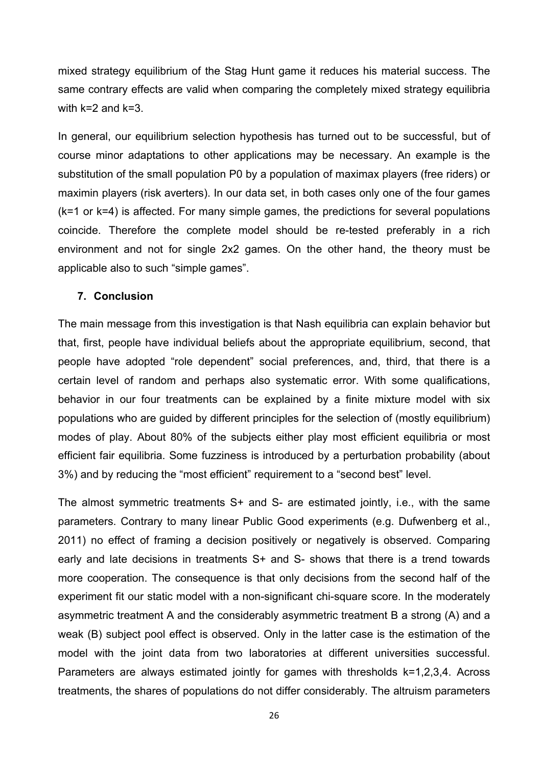mixed strategy equilibrium of the Stag Hunt game it reduces his material success. The same contrary effects are valid when comparing the completely mixed strategy equilibria with k=2 and k=3.

In general, our equilibrium selection hypothesis has turned out to be successful, but of course minor adaptations to other applications may be necessary. An example is the substitution of the small population P0 by a population of maximax players (free riders) or maximin players (risk averters). In our data set, in both cases only one of the four games (k=1 or k=4) is affected. For many simple games, the predictions for several populations coincide. Therefore the complete model should be re-tested preferably in a rich environment and not for single 2x2 games. On the other hand, the theory must be applicable also to such "simple games".

## **7. Conclusion**

The main message from this investigation is that Nash equilibria can explain behavior but that, first, people have individual beliefs about the appropriate equilibrium, second, that people have adopted "role dependent" social preferences, and, third, that there is a certain level of random and perhaps also systematic error. With some qualifications, behavior in our four treatments can be explained by a finite mixture model with six populations who are guided by different principles for the selection of (mostly equilibrium) modes of play. About 80% of the subjects either play most efficient equilibria or most efficient fair equilibria. Some fuzziness is introduced by a perturbation probability (about 3%) and by reducing the "most efficient" requirement to a "second best" level.

The almost symmetric treatments S+ and S- are estimated jointly, i.e., with the same parameters. Contrary to many linear Public Good experiments (e.g. Dufwenberg et al., 2011) no effect of framing a decision positively or negatively is observed. Comparing early and late decisions in treatments S+ and S- shows that there is a trend towards more cooperation. The consequence is that only decisions from the second half of the experiment fit our static model with a non-significant chi-square score. In the moderately asymmetric treatment A and the considerably asymmetric treatment B a strong (A) and a weak (B) subject pool effect is observed. Only in the latter case is the estimation of the model with the joint data from two laboratories at different universities successful. Parameters are always estimated jointly for games with thresholds k=1,2,3,4. Across treatments, the shares of populations do not differ considerably. The altruism parameters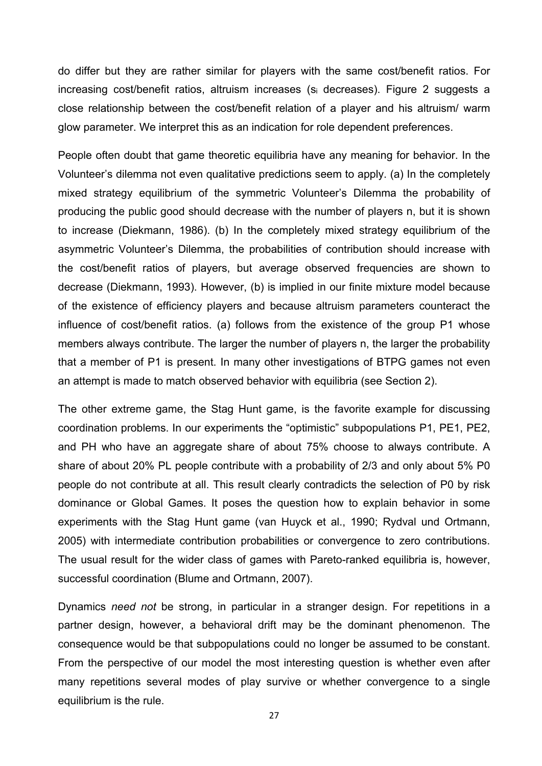do differ but they are rather similar for players with the same cost/benefit ratios. For increasing cost/benefit ratios, altruism increases (si decreases). Figure 2 suggests a close relationship between the cost/benefit relation of a player and his altruism/ warm glow parameter. We interpret this as an indication for role dependent preferences.

People often doubt that game theoretic equilibria have any meaning for behavior. In the Volunteer's dilemma not even qualitative predictions seem to apply. (a) In the completely mixed strategy equilibrium of the symmetric Volunteer's Dilemma the probability of producing the public good should decrease with the number of players n, but it is shown to increase (Diekmann, 1986). (b) In the completely mixed strategy equilibrium of the asymmetric Volunteer's Dilemma, the probabilities of contribution should increase with the cost/benefit ratios of players, but average observed frequencies are shown to decrease (Diekmann, 1993). However, (b) is implied in our finite mixture model because of the existence of efficiency players and because altruism parameters counteract the influence of cost/benefit ratios. (a) follows from the existence of the group P1 whose members always contribute. The larger the number of players n, the larger the probability that a member of P1 is present. In many other investigations of BTPG games not even an attempt is made to match observed behavior with equilibria (see Section 2).

The other extreme game, the Stag Hunt game, is the favorite example for discussing coordination problems. In our experiments the "optimistic" subpopulations P1, PE1, PE2, and PH who have an aggregate share of about 75% choose to always contribute. A share of about 20% PL people contribute with a probability of 2/3 and only about 5% P0 people do not contribute at all. This result clearly contradicts the selection of P0 by risk dominance or Global Games. It poses the question how to explain behavior in some experiments with the Stag Hunt game (van Huyck et al., 1990; Rydval und Ortmann, 2005) with intermediate contribution probabilities or convergence to zero contributions. The usual result for the wider class of games with Pareto-ranked equilibria is, however, successful coordination (Blume and Ortmann, 2007).

Dynamics *need not* be strong, in particular in a stranger design. For repetitions in a partner design, however, a behavioral drift may be the dominant phenomenon. The consequence would be that subpopulations could no longer be assumed to be constant. From the perspective of our model the most interesting question is whether even after many repetitions several modes of play survive or whether convergence to a single equilibrium is the rule.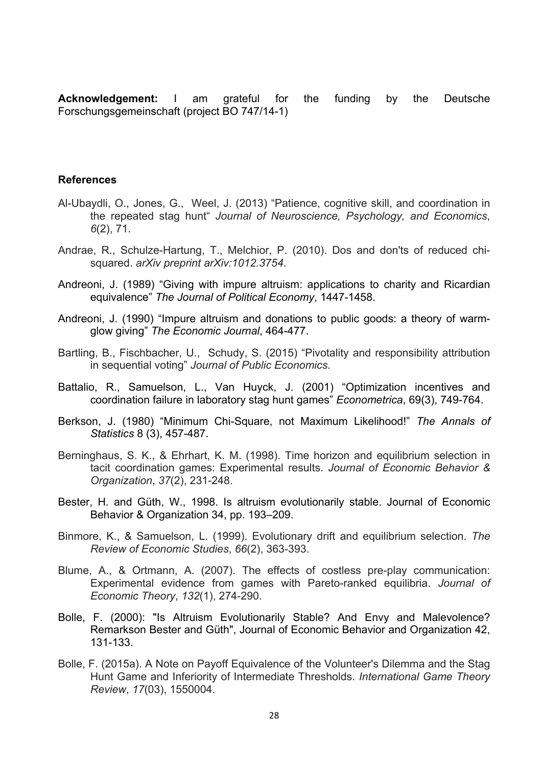**Acknowledgement:** I am grateful for the funding by the Deutsche Forschungsgemeinschaft (project BO 747/14-1)

#### **References**

- Al-Ubaydli, O., Jones, G., Weel, J. (2013) "Patience, cognitive skill, and coordination in the repeated stag hunt" *Journal of Neuroscience, Psychology, and Economics*, *6*(2), 71.
- Andrae, R., Schulze-Hartung, T., Melchior, P. (2010). Dos and don'ts of reduced chisquared. *arXiv preprint arXiv:1012.3754*.
- Andreoni, J. (1989) "Giving with impure altruism: applications to charity and Ricardian equivalence" *The Journal of Political Economy*, 1447-1458.
- Andreoni, J. (1990) "Impure altruism and donations to public goods: a theory of warmglow giving" *The Economic Journal*, 464-477.
- Bartling, B., Fischbacher, U., Schudy, S. (2015) "Pivotality and responsibility attribution in sequential voting" *Journal of Public Economics*.
- Battalio, R., Samuelson, L., Van Huyck, J. (2001) "Optimization incentives and coordination failure in laboratory stag hunt games" *Econometrica*, 69(3), 749-764.
- Berkson, J. (1980) "Minimum Chi-Square, not Maximum Likelihood!" *The Annals of Statistics* 8 (3), 457-487.
- Berninghaus, S. K., & Ehrhart, K. M. (1998). Time horizon and equilibrium selection in tacit coordination games: Experimental results. *Journal of Economic Behavior & Organization*, *37*(2), 231-248.
- Bester, H. and Güth, W., 1998. Is altruism evolutionarily stable. Journal of Economic Behavior & Organization 34, pp. 193–209.
- Binmore, K., & Samuelson, L. (1999). Evolutionary drift and equilibrium selection. *The Review of Economic Studies*, *66*(2), 363-393.
- Blume, A., & Ortmann, A. (2007). The effects of costless pre-play communication: Experimental evidence from games with Pareto-ranked equilibria. *Journal of Economic Theory*, *132*(1), 274-290.
- Bolle, F. (2000): "Is Altruism Evolutionarily Stable? And Envy and Malevolence? Remarkson Bester and Güth", Journal of Economic Behavior and Organization 42, 131-133.
- Bolle, F. (2015a). A Note on Payoff Equivalence of the Volunteer's Dilemma and the Stag Hunt Game and Inferiority of Intermediate Thresholds. *International Game Theory Review*, *17*(03), 1550004.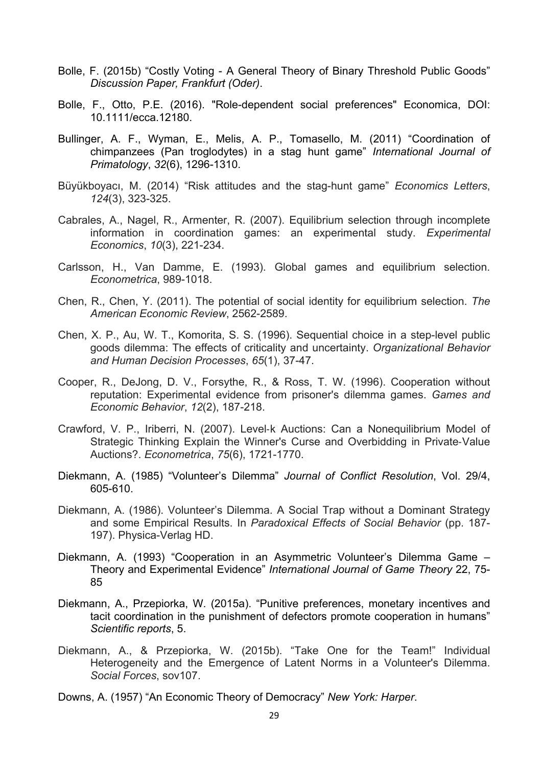- Bolle, F. (2015b) "Costly Voting A General Theory of Binary Threshold Public Goods" *Discussion Paper, Frankfurt (Oder)*.
- Bolle, F., Otto, P.E. (2016). "Role-dependent social preferences" Economica, DOI: 10.1111/ecca.12180.
- Bullinger, A. F., Wyman, E., Melis, A. P., Tomasello, M. (2011) "Coordination of chimpanzees (Pan troglodytes) in a stag hunt game" *International Journal of Primatology*, *32*(6), 1296-1310.
- Büyükboyacı, M. (2014) "Risk attitudes and the stag-hunt game" *Economics Letters*, *124*(3), 323-325.
- Cabrales, A., Nagel, R., Armenter, R. (2007). Equilibrium selection through incomplete information in coordination games: an experimental study. *Experimental Economics*, *10*(3), 221-234.
- Carlsson, H., Van Damme, E. (1993). Global games and equilibrium selection. *Econometrica*, 989-1018.
- Chen, R., Chen, Y. (2011). The potential of social identity for equilibrium selection. *The American Economic Review*, 2562-2589.
- Chen, X. P., Au, W. T., Komorita, S. S. (1996). Sequential choice in a step-level public goods dilemma: The effects of criticality and uncertainty. *Organizational Behavior and Human Decision Processes*, *65*(1), 37-47.
- Cooper, R., DeJong, D. V., Forsythe, R., & Ross, T. W. (1996). Cooperation without reputation: Experimental evidence from prisoner's dilemma games. *Games and Economic Behavior*, *12*(2), 187-218.
- Crawford, V. P., Iriberri, N. (2007). Level‐k Auctions: Can a Nonequilibrium Model of Strategic Thinking Explain the Winner's Curse and Overbidding in Private‐Value Auctions?. *Econometrica*, *75*(6), 1721-1770.
- Diekmann, A. (1985) "Volunteer's Dilemma" *Journal of Conflict Resolution*, Vol. 29/4, 605-610.
- Diekmann, A. (1986). Volunteer's Dilemma. A Social Trap without a Dominant Strategy and some Empirical Results. In *Paradoxical Effects of Social Behavior* (pp. 187- 197). Physica-Verlag HD.
- Diekmann, A. (1993) "Cooperation in an Asymmetric Volunteer's Dilemma Game Theory and Experimental Evidence" *International Journal of Game Theory* 22, 75- 85
- Diekmann, A., Przepiorka, W. (2015a). "Punitive preferences, monetary incentives and tacit coordination in the punishment of defectors promote cooperation in humans" *Scientific reports*, 5.
- Diekmann, A., & Przepiorka, W. (2015b). "Take One for the Team!" Individual Heterogeneity and the Emergence of Latent Norms in a Volunteer's Dilemma. *Social Forces*, sov107.
- Downs, A. (1957) "An Economic Theory of Democracy" *New York: Harper*.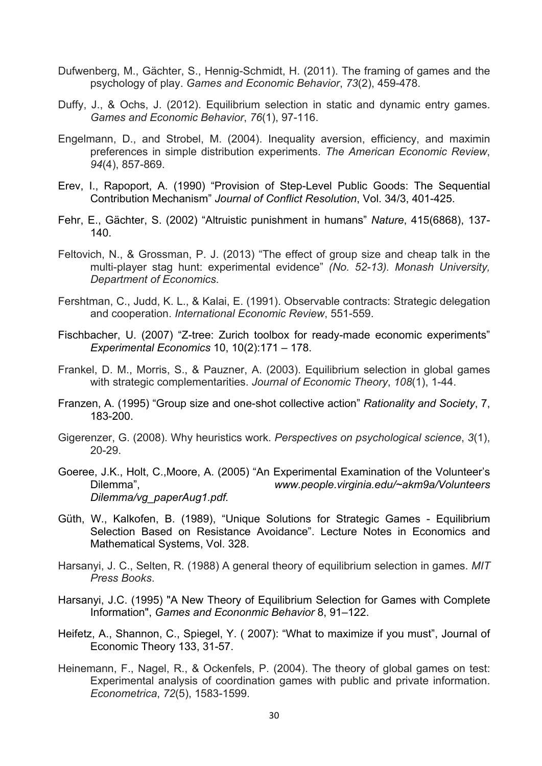- Dufwenberg, M., Gächter, S., Hennig-Schmidt, H. (2011). The framing of games and the psychology of play. *Games and Economic Behavior*, *73*(2), 459-478.
- Duffy, J., & Ochs, J. (2012). Equilibrium selection in static and dynamic entry games. *Games and Economic Behavior*, *76*(1), 97-116.
- Engelmann, D., and Strobel, M. (2004). Inequality aversion, efficiency, and maximin preferences in simple distribution experiments. *The American Economic Review*, *94*(4), 857-869.
- Erev, I., Rapoport, A. (1990) "Provision of Step-Level Public Goods: The Sequential Contribution Mechanism" *Journal of Conflict Resolution*, Vol. 34/3, 401-425.
- Fehr, E., Gächter, S. (2002) "Altruistic punishment in humans" *Nature*, 415(6868), 137- 140.
- Feltovich, N., & Grossman, P. J. (2013) "The effect of group size and cheap talk in the multi-player stag hunt: experimental evidence" *(No. 52-13). Monash University, Department of Economics*.
- Fershtman, C., Judd, K. L., & Kalai, E. (1991). Observable contracts: Strategic delegation and cooperation. *International Economic Review*, 551-559.
- Fischbacher, U. (2007) "Z-tree: Zurich toolbox for ready-made economic experiments" *Experimental Economics* 10, 10(2):171 – 178.
- Frankel, D. M., Morris, S., & Pauzner, A. (2003). Equilibrium selection in global games with strategic complementarities. *Journal of Economic Theory*, *108*(1), 1-44.
- Franzen, A. (1995) "Group size and one-shot collective action" *Rationality and Society*, 7, 183-200.
- Gigerenzer, G. (2008). Why heuristics work. *Perspectives on psychological science*, *3*(1), 20-29.
- Goeree, J.K., Holt, C.,Moore, A. (2005) "An Experimental Examination of the Volunteer's Dilemma", *www.people.virginia.edu/~akm9a/Volunteers Dilemma/vg\_paperAug1.pdf.*
- Güth, W., Kalkofen, B. (1989), "Unique Solutions for Strategic Games Equilibrium Selection Based on Resistance Avoidance". Lecture Notes in Economics and Mathematical Systems, Vol. 328.
- Harsanyi, J. C., Selten, R. (1988) A general theory of equilibrium selection in games. *MIT Press Books*.
- Harsanyi, J.C. (1995) "A New Theory of Equilibrium Selection for Games with Complete Information", *Games and Econonmic Behavior* 8, 91–122.
- Heifetz, A., Shannon, C., Spiegel, Y. ( 2007): "What to maximize if you must", Journal of Economic Theory 133, 31-57.
- Heinemann, F., Nagel, R., & Ockenfels, P. (2004). The theory of global games on test: Experimental analysis of coordination games with public and private information. *Econometrica*, *72*(5), 1583-1599.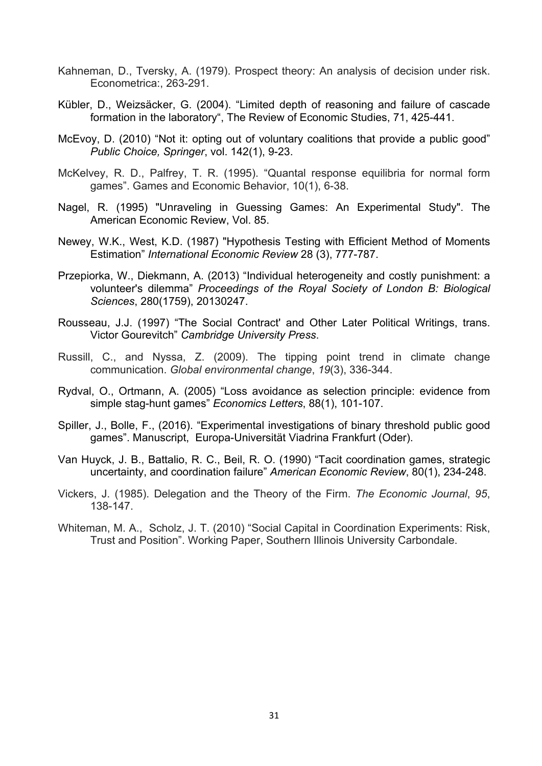- Kahneman, D., Tversky, A. (1979). Prospect theory: An analysis of decision under risk. Econometrica:, 263-291.
- Kübler, D., Weizsäcker, G. (2004). "Limited depth of reasoning and failure of cascade formation in the laboratory", The Review of Economic Studies, 71, 425-441.
- McEvoy, D. (2010) "Not it: opting out of voluntary coalitions that provide a public good" *Public Choice, Springer*, vol. 142(1), 9-23.
- McKelvey, R. D., Palfrey, T. R. (1995). "Quantal response equilibria for normal form games". Games and Economic Behavior, 10(1), 6-38.
- Nagel, R. (1995) "Unraveling in Guessing Games: An Experimental Study". The American Economic Review, Vol. 85.
- Newey, W.K., West, K.D. (1987) "Hypothesis Testing with Efficient Method of Moments Estimation" *International Economic Review* 28 (3), 777-787.
- Przepiorka, W., Diekmann, A. (2013) "Individual heterogeneity and costly punishment: a volunteer's dilemma" *Proceedings of the Royal Society of London B: Biological Sciences*, 280(1759), 20130247.
- Rousseau, J.J. (1997) "The Social Contract' and Other Later Political Writings, trans. Victor Gourevitch" *Cambridge University Press*.
- Russill, C., and Nyssa, Z. (2009). The tipping point trend in climate change communication. *Global environmental change*, *19*(3), 336-344.
- Rydval, O., Ortmann, A. (2005) "Loss avoidance as selection principle: evidence from simple stag-hunt games" *Economics Letters*, 88(1), 101-107.
- Spiller, J., Bolle, F., (2016). "Experimental investigations of binary threshold public good games". Manuscript, Europa-Universität Viadrina Frankfurt (Oder).
- Van Huyck, J. B., Battalio, R. C., Beil, R. O. (1990) "Tacit coordination games, strategic uncertainty, and coordination failure" *American Economic Review*, 80(1), 234-248.
- Vickers, J. (1985). Delegation and the Theory of the Firm. *The Economic Journal*, *95*, 138-147.
- Whiteman, M. A., Scholz, J. T. (2010) "Social Capital in Coordination Experiments: Risk, Trust and Position". Working Paper, Southern Illinois University Carbondale.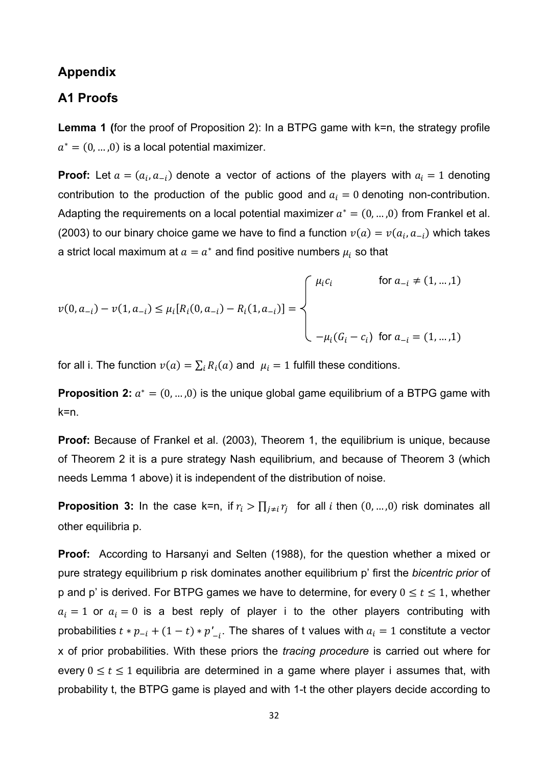## **Appendix**

## **A1 Proofs**

**Lemma 1 (**for the proof of Proposition 2): In a BTPG game with k=n, the strategy profile  $a^* = (0, ..., 0)$  is a local potential maximizer.

**Proof:** Let  $a = (a_i, a_{-i})$  denote a vector of actions of the players with  $a_i = 1$  denoting contribution to the production of the public good and  $a_i = 0$  denoting non-contribution. Adapting the requirements on a local potential maximizer  $a^* = (0, ..., 0)$  from Frankel et al. (2003) to our binary choice game we have to find a function  $v(a) = v(a_i, a_{-i})$  which takes a strict local maximum at  $a = a^*$  and find positive numbers  $\mu_i$  so that

$$
v(0, a_{-i}) - v(1, a_{-i}) \le \mu_i[R_i(0, a_{-i}) - R_i(1, a_{-i})] = \begin{cases} \mu_i c_i & \text{for } a_{-i} \ne (1, \dots, 1) \\ & \\ -\mu_i(G_i - c_i) & \text{for } a_{-i} = (1, \dots, 1) \end{cases}
$$

for all i. The function  $v(a) = \sum_i R_i(a)$  and  $\mu_i = 1$  fulfill these conditions.

**Proposition 2:**  $a^* = (0, ..., 0)$  is the unique global game equilibrium of a BTPG game with k=n.

**Proof:** Because of Frankel et al. (2003), Theorem 1, the equilibrium is unique, because of Theorem 2 it is a pure strategy Nash equilibrium, and because of Theorem 3 (which needs Lemma 1 above) it is independent of the distribution of noise.

**Proposition 3:** In the case k=n, if  $r_i > \prod_{j \neq i} r_j$  for all *i* then  $(0, ..., 0)$  risk dominates all other equilibria p.

**Proof:** According to Harsanyi and Selten (1988), for the question whether a mixed or pure strategy equilibrium p risk dominates another equilibrium p' first the *bicentric prior* of p and p' is derived. For BTPG games we have to determine, for every  $0 \le t \le 1$ , whether  $a_i = 1$  or  $a_i = 0$  is a best reply of player i to the other players contributing with probabilities  $t * p_{-i} + (1-t) * p'_{-i}$ . The shares of t values with  $a_i = 1$  constitute a vector x of prior probabilities. With these priors the *tracing procedure* is carried out where for every  $0 \le t \le 1$  equilibria are determined in a game where player i assumes that, with probability t, the BTPG game is played and with 1-t the other players decide according to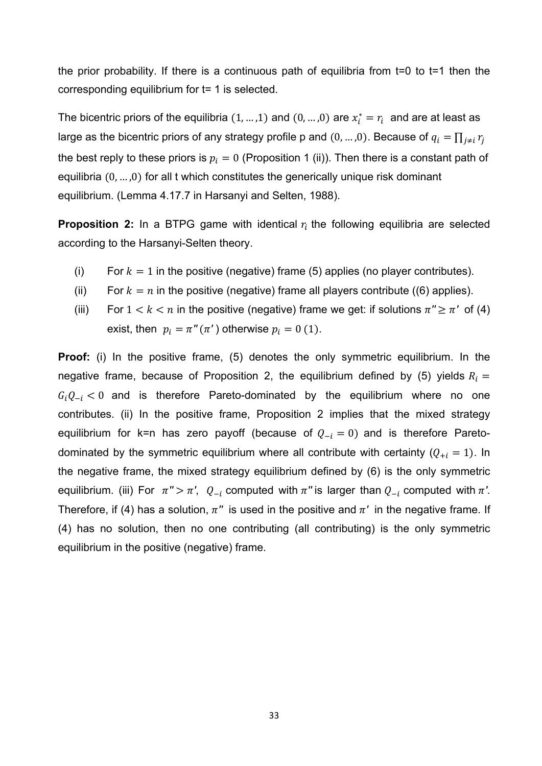the prior probability. If there is a continuous path of equilibria from t=0 to t=1 then the corresponding equilibrium for t= 1 is selected.

The bicentric priors of the equilibria  $(1, ..., 1)$  and  $(0, ..., 0)$  are  $x_i^* = r_i$  and are at least as large as the bicentric priors of any strategy profile p and  $(0,...,0).$  Because of  $q_i = \prod_{j\neq i} r_j$ the best reply to these priors is  $p_i=0$  (Proposition 1 (ii)). Then there is a constant path of equilibria  $(0, \ldots, 0)$  for all t which constitutes the generically unique risk dominant equilibrium. (Lemma 4.17.7 in Harsanyi and Selten, 1988).

**Proposition 2:** In a BTPG game with identical  $r_i$  the following equilibria are selected according to the Harsanyi-Selten theory.

- (i) For  $k = 1$  in the positive (negative) frame (5) applies (no player contributes).
- (ii) For  $k = n$  in the positive (negative) frame all players contribute ((6) applies).
- (iii) For  $1 < k < n$  in the positive (negative) frame we get: if solutions  $\pi'' \geq \pi'$  of (4) exist, then  $p_i = \pi''(\pi')$  otherwise  $p_i = 0$  (1).

**Proof:** (i) In the positive frame, (5) denotes the only symmetric equilibrium. In the negative frame, because of Proposition 2, the equilibrium defined by (5) yields  $R_i =$  $G_i Q_{-i} < 0$  and is therefore Pareto-dominated by the equilibrium where no one contributes. (ii) In the positive frame, Proposition 2 implies that the mixed strategy equilibrium for k=n has zero payoff (because of  $Q_{-i} = 0$ ) and is therefore Paretodominated by the symmetric equilibrium where all contribute with certainty  $(Q_{+i} = 1)$ . In the negative frame, the mixed strategy equilibrium defined by (6) is the only symmetric equilibrium. (iii) For  $\pi$ " >  $\pi$ ',  $Q_{-i}$  computed with  $\pi$ " is larger than  $Q_{-i}$  computed with  $\pi$ '. Therefore, if (4) has a solution,  $\pi$ <sup>*"*</sup> is used in the positive and  $\pi$ <sup>*'*</sup> in the negative frame. If (4) has no solution, then no one contributing (all contributing) is the only symmetric equilibrium in the positive (negative) frame.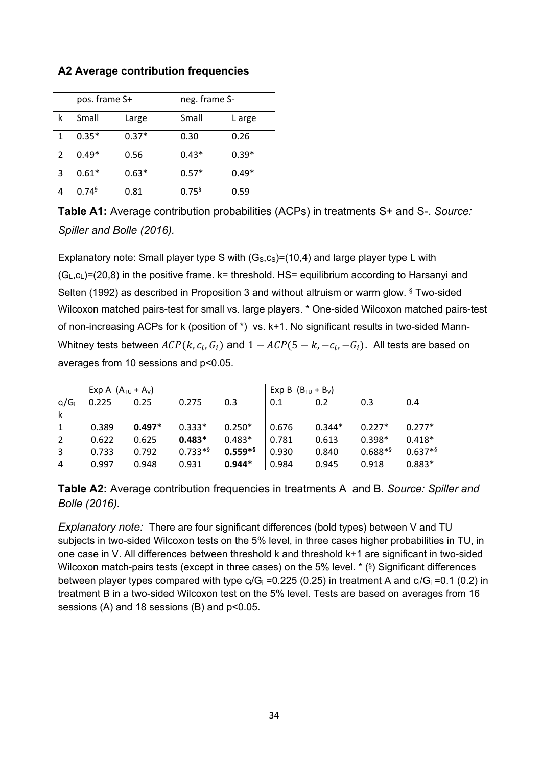|   | pos. frame S+ |         | neg. frame S- |         |  |
|---|---------------|---------|---------------|---------|--|
| k | Small         | Large   | Small         | L arge  |  |
| 1 | $0.35*$       | $0.37*$ | 0.30          | 0.26    |  |
|   | $0.49*$       | 0.56    | $0.43*$       | $0.39*$ |  |
| 3 | $0.61*$       | $0.63*$ | $0.57*$       | $0.49*$ |  |
|   | $0.74^{5}$    | 0.81    | $0.75^{6}$    | 0.59    |  |

## **A2 Average contribution frequencies**

**Table A1:** Average contribution probabilities (ACPs) in treatments S+ and S-. *Source: Spiller and Bolle (2016).*

Explanatory note: Small player type S with  $(G<sub>s</sub>,c<sub>s</sub>)=(10,4)$  and large player type L with  $(G<sub>L</sub>, G<sub>L</sub>)$ =(20,8) in the positive frame. k= threshold. HS= equilibrium according to Harsanyi and Selten (1992) as described in Proposition 3 and without altruism or warm glow. § Two-sided Wilcoxon matched pairs-test for small vs. large players. \* One-sided Wilcoxon matched pairs-test of non-increasing ACPs for k (position of \*) vs. k+1. No significant results in two-sided Mann-Whitney tests between  $ACP(k, c_i, G_i)$  and  $1 - ACP(5 - k, -c_i, -G_i)$ . All tests are based on averages from 10 sessions and p<0.05.

|           | Exp A $(A_{\text{TU}} + A_{\text{V}})$ |          |           | Exp B $(B_{\text{TU}} + B_{\text{V}})$ |       |          |           |           |
|-----------|----------------------------------------|----------|-----------|----------------------------------------|-------|----------|-----------|-----------|
| $c_i/G_i$ | 0.225                                  | 0.25     | 0.275     | 0.3                                    | 0.1   | 0.2      | 0.3       | 0.4       |
| k         |                                        |          |           |                                        |       |          |           |           |
|           | 0.389                                  | $0.497*$ | $0.333*$  | $0.250*$                               | 0.676 | $0.344*$ | $0.227*$  | $0.277*$  |
| 2         | 0.622                                  | 0.625    | $0.483*$  | $0.483*$                               | 0.781 | 0.613    | $0.398*$  | $0.418*$  |
| 3         | 0.733                                  | 0.792    | $0.733**$ | $0.559**$                              | 0.930 | 0.840    | $0.688**$ | $0.637**$ |
| 4         | 0.997                                  | 0.948    | 0.931     | $0.944*$                               | 0.984 | 0.945    | 0.918     | $0.883*$  |

**Table A2:** Average contribution frequencies in treatments A and B. *Source: Spiller and Bolle (2016).*

*Explanatory note:* There are four significant differences (bold types) between V and TU subjects in two-sided Wilcoxon tests on the 5% level, in three cases higher probabilities in TU, in one case in V. All differences between threshold k and threshold k+1 are significant in two-sided Wilcoxon match-pairs tests (except in three cases) on the 5% level. \* (§) Significant differences between player types compared with type  $c_i/G_i = 0.225$  (0.25) in treatment A and  $c_i/G_i = 0.1$  (0.2) in treatment B in a two-sided Wilcoxon test on the 5% level. Tests are based on averages from 16 sessions (A) and 18 sessions (B) and  $p<0.05$ .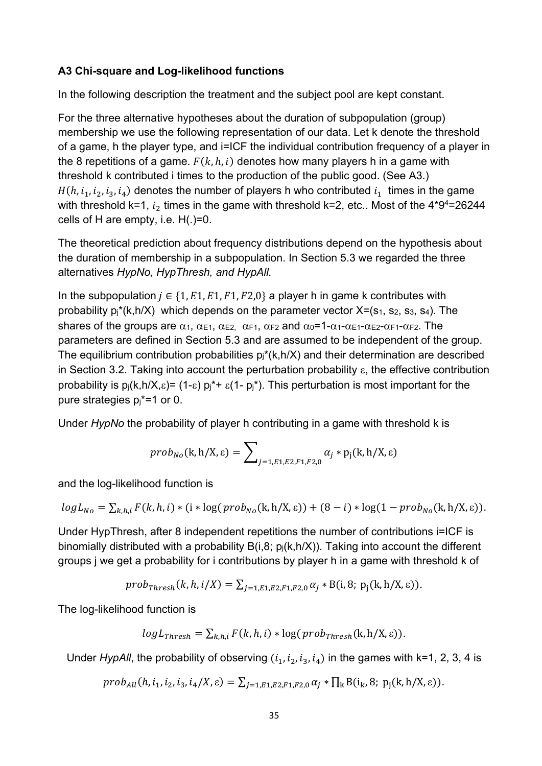## **A3 Chi-square and Log-likelihood functions**

In the following description the treatment and the subject pool are kept constant.

For the three alternative hypotheses about the duration of subpopulation (group) membership we use the following representation of our data. Let k denote the threshold of a game, h the player type, and i=ICF the individual contribution frequency of a player in the 8 repetitions of a game.  $F(k, h, i)$  denotes how many players h in a game with threshold k contributed i times to the production of the public good. (See A3.)  $H(h, i_1, i_2, i_3, i_4)$  denotes the number of players h who contributed  $i_1$  times in the game with threshold k=1,  $i_2$  times in the game with threshold k=2, etc.. Most of the 4\*9<sup>4</sup>=26244 cells of H are empty, i.e. H(.)=0.

The theoretical prediction about frequency distributions depend on the hypothesis about the duration of membership in a subpopulation. In Section 5.3 we regarded the three alternatives *HypNo, HypThresh, and HypAll.* 

In the subpopulation  $j \in \{1, E1, E1, F1, F2, 0\}$  a player h in game k contributes with probability  $p_1^*(k,h/X)$  which depends on the parameter vector  $X=(s_1, s_2, s_3, s_4)$ . The shares of the groups are  $\alpha_1$ ,  $\alpha_{E1}$ ,  $\alpha_{E2}$ ,  $\alpha_{F1}$ ,  $\alpha_{F2}$  and  $\alpha_0=1-\alpha_1-\alpha_{E1}-\alpha_{E2}-\alpha_{F1}-\alpha_{F2}$ . The parameters are defined in Section 5.3 and are assumed to be independent of the group. The equilibrium contribution probabilities  $p_j^*(k,h/X)$  and their determination are described in Section 3.2. Taking into account the perturbation probability  $\varepsilon$ , the effective contribution probability is  $p_i(k,h/X,\epsilon) = (1-\epsilon) p_i^* + \epsilon(1-p_i^*)$ . This perturbation is most important for the pure strategies  $pi^* = 1$  or 0.

Under *HypNo* the probability of player h contributing in a game with threshold k is

$$
prob_{No}(\mathbf{k}, \mathbf{h}/\mathbf{X}, \varepsilon) = \sum\nolimits_{j=1, E1, E2, F1, F2, 0} \alpha_j * p_j(\mathbf{k}, \mathbf{h}/\mathbf{X}, \varepsilon)
$$

and the log-likelihood function is

$$
logL_{No} = \sum_{k,h,i} F(k,h,i) * (i * log(prob_{No}(k,h/X,\varepsilon)) + (8-i) * log(1-prob_{No}(k,h/X,\varepsilon)).
$$

Under HypThresh, after 8 independent repetitions the number of contributions i=ICF is binomially distributed with a probability  $B(i,8; p_i(k,h/X))$ . Taking into account the different groups j we get a probability for i contributions by player h in a game with threshold k of

*prob*<sub>*Thresh*</sub>(*k*, *h*, *i*/*X*) = 
$$
\sum_{j=1,E1,E2,F1,F2,0} \alpha_j * B(i,8; p_j(k,h/X,ε)).
$$

The log-likelihood function is

$$
logL_{Thresh} = \sum_{k,h,i} F(k,h,i) * log(prob_{Thresh}(k,h/X,\varepsilon)).
$$

Under *HypAll*, the probability of observing  $(i_1, i_2, i_3, i_4)$  in the games with k=1, 2, 3, 4 is

 $prob_{All}(h, i_1, i_2, i_3, i_4/X, \varepsilon) = \sum_{i=1, E1, E2, F1, F2, 0} \alpha_i * \prod_k B(i_k, 8; p_i(k, h/X, \varepsilon)).$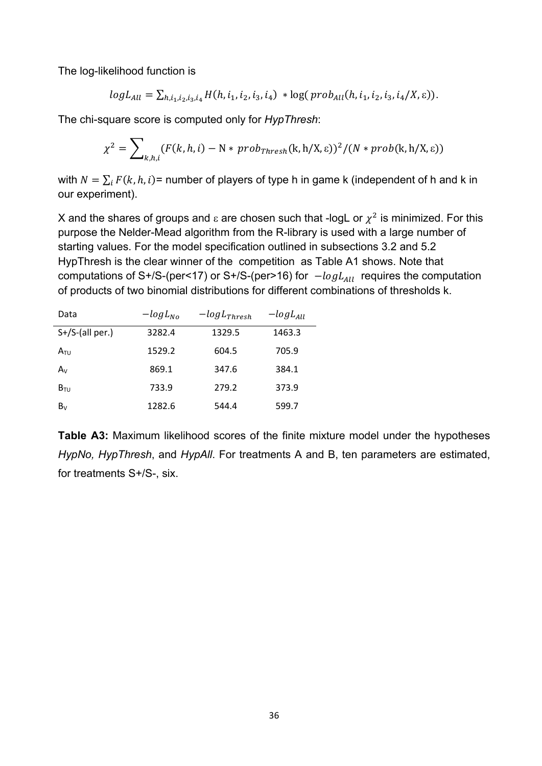The log-likelihood function is

$$
log L_{All} = \sum_{h,i_1,i_2,i_3,i_4} H(h,i_1,i_2,i_3,i_4) * log(prob_{All}(h,i_1,i_2,i_3,i_4/X,\epsilon)).
$$

The chi-square score is computed only for *HypThresh*:

$$
\chi^2 = \sum\nolimits_{k,h,i} (F(k,h,i) - N * prob_{Thresh} (k,h/X, \varepsilon))^2 / (N * prob(k,h/X, \varepsilon))
$$

with  $N = \sum_i F(k, h, i)$  = number of players of type h in game k (independent of h and k in our experiment).

X and the shares of groups and  $\varepsilon$  are chosen such that -logL or  $\chi^2$  is minimized. For this purpose the Nelder-Mead algorithm from the R-library is used with a large number of starting values. For the model specification outlined in subsections 3.2 and 5.2 HypThresh is the clear winner of the competition as Table A1 shows. Note that computations of S+/S-(per<17) or S+/S-(per>16) for  $-logL_{All}$  requires the computation of products of two binomial distributions for different combinations of thresholds k.

| Data               | $-logL_{No}$ | $-logL_{Thresh}$ | $-logL_{All}$ |  |
|--------------------|--------------|------------------|---------------|--|
| $S+/S$ -(all per.) | 3282.4       | 1329.5           | 1463.3        |  |
| $A_{\text{TU}}$    | 1529.2       | 604.5            | 705.9         |  |
| $A_V$              | 869.1        | 347.6            | 384.1         |  |
| $B_{\text{TU}}$    | 733.9        | 279.2            | 373.9         |  |
| $B_V$              | 1282.6       | 544.4            | 599.7         |  |

**Table A3:** Maximum likelihood scores of the finite mixture model under the hypotheses *HypNo, HypThresh*, and *HypAll*. For treatments A and B, ten parameters are estimated, for treatments S+/S-, six.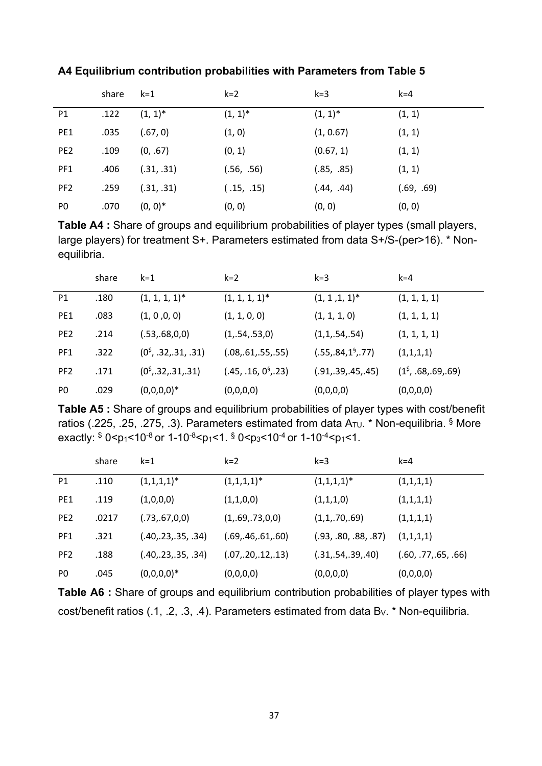|                 | share | $k=1$      | $k=2$      | $k = 3$    | $k = 4$    |
|-----------------|-------|------------|------------|------------|------------|
| P1              | .122  | $(1, 1)^*$ | $(1, 1)^*$ | $(1, 1)^*$ | (1, 1)     |
| PE <sub>1</sub> | .035  | (.67, 0)   | (1, 0)     | (1, 0.67)  | (1, 1)     |
| PE <sub>2</sub> | .109  | (0, .67)   | (0, 1)     | (0.67, 1)  | (1, 1)     |
| PF1             | .406  | (.31, .31) | (.56, .56) | (.85, .85) | (1, 1)     |
| PF <sub>2</sub> | .259  | (.31, .31) | (.15, .15) | (.44, .44) | (.69, .69) |
| P <sub>0</sub>  | .070  | $(0, 0)^*$ | (0, 0)     | (0, 0)     | (0, 0)     |

**A4 Equilibrium contribution probabilities with Parameters from Table 5** 

**Table A4 :** Share of groups and equilibrium probabilities of player types (small players, large players) for treatment S+. Parameters estimated from data S+/S-(per>16). \* Nonequilibria.

|                 | share | $k = 1$                    | $k=2$                            | $k=3$                         | $k = 4$                |
|-----------------|-------|----------------------------|----------------------------------|-------------------------------|------------------------|
| P1              | .180  | $(1, 1, 1, 1)^*$           | $(1, 1, 1, 1)^*$                 | $(1, 1, 1, 1)^*$              | (1, 1, 1, 1)           |
| PE1             | .083  | (1, 0, 0, 0)               | (1, 1, 0, 0)                     | (1, 1, 1, 0)                  | (1, 1, 1, 1)           |
| PE <sub>2</sub> | .214  | (.53,.68,0,0)              | (1, .54, .53, 0)                 | (1,1, .54, .54)               | (1, 1, 1, 1)           |
| PF1             | .322  | $(0^{\rm S}, .32,.31,.31)$ | (.08,.61,.55,.55)                | (.55,.84,1 <sup>6</sup> ,.77) | (1,1,1,1)              |
| PF <sub>2</sub> | .171  | $(0^{\rm S}, 32, 31, 31)$  | (.45, .16, 0 <sup>6</sup> , .23) | (.91, .39, .45, .45)          | $(1^5, .68, .69, .69)$ |
| P <sub>0</sub>  | .029  | $(0,0,0,0)^*$              | (0,0,0,0)                        | (0,0,0,0)                     | (0,0,0,0)              |

**Table A5 :** Share of groups and equilibrium probabilities of player types with cost/benefit ratios (.225, .25, .275, .3). Parameters estimated from data  $A_{\text{TU}}$  \* Non-equilibria. § More exactly:  $$0$  <p1 < 10<sup>-8</sup> or 1-10<sup>-8</sup> <p1 < 1.  $$0$  <p2 < 10<sup>-4</sup> or 1-10<sup>-4</sup> <p1 < 1.

|                 | share | $k = 1$              | $k=2$                | $k=3$                | $k = 4$              |
|-----------------|-------|----------------------|----------------------|----------------------|----------------------|
| P1              | .110  | $(1,1,1,1)^*$        | $(1,1,1,1)^*$        | $(1,1,1,1)^*$        | (1,1,1,1)            |
| PE1             | .119  | (1,0,0,0)            | (1,1,0,0)            | (1,1,1,0)            | (1,1,1,1)            |
| PE <sub>2</sub> | .0217 | (.73,.67,0,0)        | (1, .69, .73, 0, 0)  | (1,1,.70,.69)        | (1,1,1,1)            |
| PF1             | .321  | (.40, .23, .35, .34) | (.69, .46, .61, .60) | (.93, .80, .88, .87) | (1,1,1,1)            |
| PF <sub>2</sub> | .188  | (.40, .23, .35, .34) | (.07,.20,.12,.13)    | (.31, .54, .39, .40) | (.60, .77, .65, .66) |
| P <sub>0</sub>  | .045  | $(0,0,0,0)^*$        | (0,0,0,0)            | (0,0,0,0)            | (0,0,0,0)            |

**Table A6 :** Share of groups and equilibrium contribution probabilities of player types with cost/benefit ratios (.1, .2, .3, .4). Parameters estimated from data B<sub>V</sub>. \* Non-equilibria.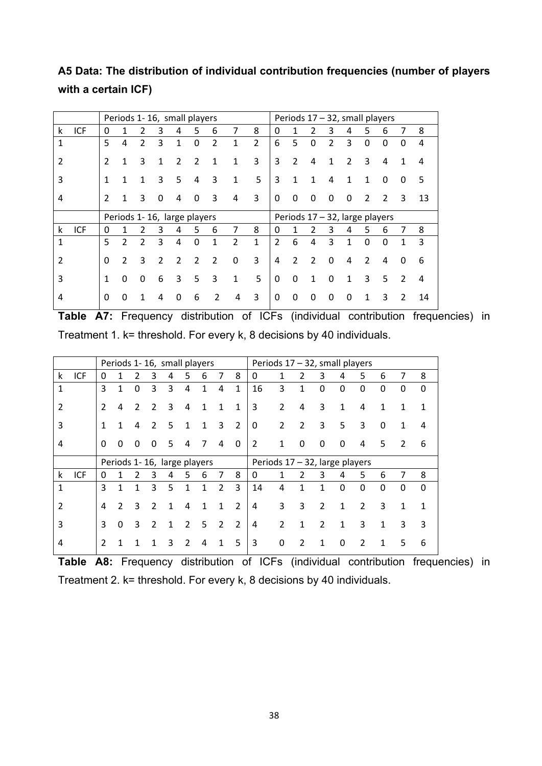## **A5 Data: The distribution of individual contribution frequencies (number of players with a certain ICF)**

|              |            |               |                          |               |   | Periods 1-16, small players |   |   |                         |                |               |                |               | Periods $17 - 32$ , small players |   |          |          |               |    |
|--------------|------------|---------------|--------------------------|---------------|---|-----------------------------|---|---|-------------------------|----------------|---------------|----------------|---------------|-----------------------------------|---|----------|----------|---------------|----|
| k            | <b>ICF</b> | $\Omega$      | 1                        | 2             | 3 | 4                           | 5 | 6 | 7                       | 8              | 0             | 1              |               | 3                                 | 4 | 5        | 6        | 7             | 8  |
| $\mathbf{1}$ |            | 5             | 4                        | 2             | 3 | 1                           | 0 | 2 | 1                       | $\overline{2}$ | 6             | 5              | $\Omega$      | $\overline{2}$                    | 3 | $\Omega$ | $\Omega$ | 0             | 4  |
| 2            |            | 2             | 1                        | 3             | 1 | 2                           | 2 | 1 | 1                       | 3              | 3             | $\overline{2}$ | 4             | 1                                 | 2 | 3        | 4        | 1             | 4  |
| 3            |            | 1             | 1                        | 1             | 3 | 5                           | 4 | 3 | 1                       | 5              | 3             | 1              | 1             | 4                                 | 1 | 1        | 0        | 0             | 5  |
| 4            |            | $\mathcal{P}$ | 1                        | 3             | 0 | 4                           | 0 | 3 | 4                       | 3              | 0             | 0              | 0             | 0                                 | 0 | 2        | 2        | 3             | 13 |
|              |            |               |                          |               |   |                             |   |   |                         |                |               |                |               |                                   |   |          |          |               |    |
|              |            |               |                          |               |   | Periods 1-16, large players |   |   |                         |                |               |                |               | Periods 17 - 32, large players    |   |          |          |               |    |
| k            | <b>ICF</b> | 0             | 1                        | 2             | 3 | 4                           | 5 | 6 | 7                       | 8              | 0             | 1              |               | 3                                 | 4 | 5        | 6        | 7             | 8  |
| 1            |            | 5             | $\overline{\mathcal{L}}$ | $\mathcal{P}$ | 3 | 4                           | 0 | 1 | $\overline{\mathbf{c}}$ | 1              | $\mathcal{P}$ | 6              | 4             | 3                                 | 1 | $\Omega$ | $\Omega$ | 1             | 3  |
| 2            |            | $\Omega$      | 2                        | 3             | 2 | $\mathcal{P}$               | 2 | 2 | 0                       | 3              | 4             | 2              | $\mathcal{P}$ | 0                                 | 4 | 2        | 4        | 0             | 6  |
| 3            |            | 1             | 0                        | 0             | 6 | 3                           | 5 | 3 | 1                       | 5              | $\Omega$      | $\Omega$       | 1             | $\mathbf{0}$                      | 1 | 3        | .5       | $\mathcal{P}$ | 4  |

**Table A7:** Frequency distribution of ICFs (individual contribution frequencies) in Treatment 1. k= threshold. For every k, 8 decisions by 40 individuals.

|               |            | Periods 1-16, small players |                |               |               |                             |   |    |               |               | Periods 17 - 32, small players |                |                |                |   |                |   |   |   |
|---------------|------------|-----------------------------|----------------|---------------|---------------|-----------------------------|---|----|---------------|---------------|--------------------------------|----------------|----------------|----------------|---|----------------|---|---|---|
| k             | ICF        | 0                           | 1              | 2             | 3             | 4                           | 5 | 6  |               | 8             | 0                              | 1              | 2              | 3              | 4 | 5              | 6 | 7 | 8 |
| 1             |            | 3                           | 1              | 0             | 3             | 3                           | 4 | 1  | 4             | 1             | 16                             | 3              | 1              | 0              | 0 | $\mathbf{0}$   | 0 | 0 | 0 |
| $\mathcal{P}$ |            | $\mathcal{P}$               | 4              | $\mathcal{P}$ | $\mathcal{P}$ | 3                           | 4 | 1  | 1             | 1             | 3                              | 2              | 4              | 3              | 1 | 4              | 1 | 1 | 1 |
| 3             |            | 1                           | 1              | 4             | $\mathcal{L}$ | 5                           | 1 | 1  | 3             | $\mathcal{P}$ | $\Omega$                       | $\overline{2}$ | $\overline{2}$ | 3              | 5 | 3              | 0 | 1 | 4 |
| 4             |            | $\Omega$                    | O              | 0             | 0             | 5                           | 4 | 7  | 4             | $\Omega$      | $\overline{2}$                 | 1              | 0              | 0              | 0 | 4              | 5 | 2 | 6 |
|               |            |                             |                |               |               | Periods 1-16, large players |   |    |               |               | Periods 17 - 32, large players |                |                |                |   |                |   |   |   |
| k             |            |                             |                |               |               |                             |   |    |               |               |                                |                |                |                |   |                |   |   |   |
|               | <b>ICF</b> | 0                           |                | 2             | 3             | 4                           | 5 | 6  | 7             | 8             | 0                              | 1              | 2              | 3              | 4 | 5              | 6 | 7 | 8 |
| $\mathbf{1}$  |            | 3                           |                | 1             | 3             | 5                           | 1 | 1  | $\mathcal{P}$ | 3             | 14                             | 4              | 1              | 1              | 0 | $\mathbf{0}$   | 0 | 0 | 0 |
| $\mathcal{P}$ |            | 4                           | $\mathfrak{p}$ | 3             | $\mathcal{P}$ | 1                           | 4 | 1  | 1             | $\mathcal{P}$ | $\overline{4}$                 | 3              | 3              | $\overline{2}$ | 1 | $\mathfrak{p}$ | 3 | 1 | 1 |
| 3             |            | 3                           | 0              | 3             | 2             | 1                           | 2 | 5. | 2             | 2             | 4                              | $\overline{2}$ | 1              | 2              | 1 | 3              | 1 | 3 | 3 |

**Table A8:** Frequency distribution of ICFs (individual contribution frequencies) in Treatment 2. k= threshold. For every k, 8 decisions by 40 individuals.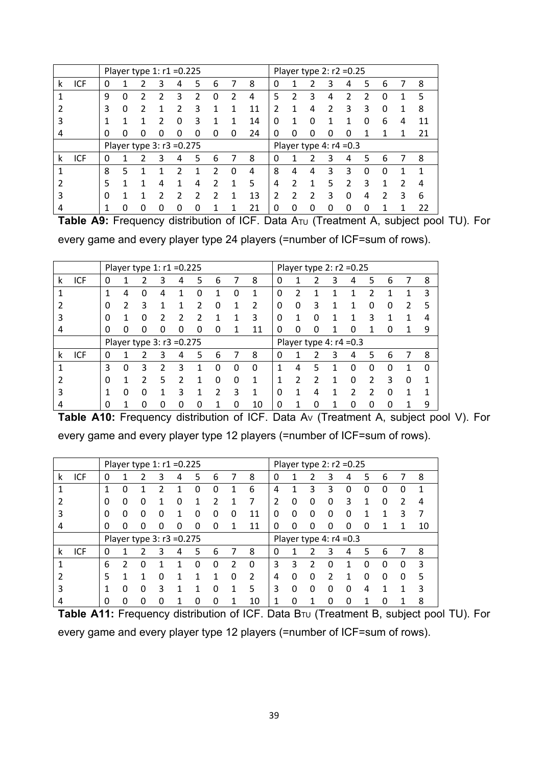|   |     |   | Player type 1: $r1 = 0.225$ |   |   |   |   |   |   |    |               |   |   | Player type 2: $r2 = 0.25$ |          |   |   |   |    |
|---|-----|---|-----------------------------|---|---|---|---|---|---|----|---------------|---|---|----------------------------|----------|---|---|---|----|
| k | ICF | 0 |                             |   | 3 | 4 | 5 | 6 |   | 8  | 0             |   |   | 3                          | 4        | 5 | 6 | 7 | 8  |
|   |     | 9 | 0                           | 7 |   | 3 | 2 |   |   | 4  | 5             | າ | 3 | 4                          | 2        |   | O |   | 5  |
|   |     | 3 | 0                           | ว |   | າ | 3 |   |   | 11 | $\mathfrak z$ |   | 4 | C                          | 3        | 3 | O |   | 8  |
| 3 |     |   | 1                           |   |   | ∩ | 3 |   |   | 14 | 0             |   | O |                            |          |   | 6 | 4 | 11 |
| 4 |     | 0 | 0                           |   |   |   |   |   | n | 24 | 0             | ი | 0 | 0                          |          |   |   |   | 21 |
|   |     |   | Player type 3: r3 = 0.275   |   |   |   |   |   |   |    |               |   |   | Player type 4: $r4 = 0.3$  |          |   |   |   |    |
| k | ICF | O |                             |   | 3 | 4 | 5 | 6 |   | 8  | 0             |   |   | 3                          | 4        |   | 6 |   | 8  |
|   |     | 8 | 5                           |   |   |   |   | 2 | n | 4  | 8             | 4 | 4 | 3                          | 3        |   |   |   |    |
|   |     | 5 |                             |   | 4 |   | 4 | 2 |   | 5  | 4             |   | 1 | 5                          | 2        | ੨ |   |   | 4  |
| 3 |     | 0 |                             |   |   | っ | 2 | ר |   | 13 | 2             | າ | っ | 3                          | $\Omega$ | 4 | 2 | ੨ | 6  |
|   |     |   | ი                           | ი |   |   |   |   |   | 21 | 0             | 0 | 0 | 0                          | O        |   |   |   | 22 |

Table A9: Frequency distribution of ICF. Data A<sub>TU</sub> (Treatment A, subject pool TU). For every game and every player type 24 players (=number of ICF=sum of rows).

|   |     |              |   |   | Player type 1: $r1 = 0.225$ |                           |   |               |   |                |          |               | Player type 2: $r2 = 0.25$ |                           |   |   |   |   |   |
|---|-----|--------------|---|---|-----------------------------|---------------------------|---|---------------|---|----------------|----------|---------------|----------------------------|---------------------------|---|---|---|---|---|
| k | ICF | 0            | 1 | 2 | 3                           | 4                         | 5 | 6             | 7 | 8              | 0        |               | 7                          | 3                         | 4 | 5 | 6 |   | 8 |
|   |     | 1            | 4 | O |                             |                           |   |               | 0 | 1              | $\Omega$ | 2             |                            |                           |   |   |   |   | 3 |
|   |     | <sup>0</sup> | 2 | 3 |                             |                           |   |               |   | $\mathfrak{p}$ | $\Omega$ | $\Omega$      | 3                          |                           |   | o |   |   | 5 |
|   |     | O            | 1 | O | າ                           | າ                         |   |               |   | 3              | $\Omega$ | 1             | ŋ                          |                           |   | 3 |   |   |   |
| 4 |     | 0            | 0 | ი |                             | 0                         |   | 0             |   | 11             | 0        | 0             | 0                          |                           | 0 |   |   |   | 9 |
|   |     |              |   |   |                             | Player type 3: r3 = 0.275 |   |               |   |                |          |               |                            | Player type 4: $r4 = 0.3$ |   |   |   |   |   |
|   |     |              |   |   |                             |                           |   |               |   |                |          |               |                            |                           |   |   |   |   |   |
| k | ICF | 0            |   | 2 | 3                           | 4                         | 5 | 6             |   | 8              | 0        |               |                            | 3                         | 4 | 5 | 6 |   | 8 |
|   |     | 3            | 0 | 3 | $\mathcal{P}$               | 3                         |   | O             | 0 | O              | 1        | 4             | 5                          |                           | 0 | 0 | ∩ |   | n |
|   |     | O            | 1 | 2 | -5.                         | 2                         |   | O             | 0 | 1              | 1        | $\mathcal{P}$ | 2                          |                           | 0 | 2 | 3 | O |   |
|   |     |              | 0 | 0 |                             | ર                         |   | $\mathcal{P}$ | 3 | 1              | 0        |               | 4                          |                           | າ | 2 | ∩ |   |   |

Table A10: Frequency distribution of ICF. Data A<sub>V</sub> (Treatment A, subject pool V). For every game and every player type 12 players (=number of ICF=sum of rows).

|   |            |   |               |   |   | Player type 1: $r1 = 0.225$ |   |   |   |    | Player type 2: $r2 = 0.25$ |   |   |   |                           |   |   |   |    |
|---|------------|---|---------------|---|---|-----------------------------|---|---|---|----|----------------------------|---|---|---|---------------------------|---|---|---|----|
| k | ICF        | 0 |               |   | З | 4                           | 5 | 6 |   | 8  | 0                          |   | 2 | 3 | 4                         | 5 | 6 |   | 8  |
|   |            | 1 | 0             |   |   |                             | 0 | 0 |   | 6  | 4                          |   | 3 | 3 | O                         | O | 0 | 0 | 1  |
|   |            | 0 | 0             | 0 |   | 0                           |   |   |   |    | 2                          | O | 0 | 0 | 3                         |   | O | 2 | 4  |
| 3 |            | 0 | 0             | 0 | Ω |                             | 0 | 0 | O | 11 | O                          | O | 0 | 0 | O                         |   |   | ੨ |    |
| 4 |            | 0 | 0             | 0 | Ω | 0                           | 0 | 0 |   | 11 | 0                          | 0 | 0 | 0 | 0                         | 0 |   |   | 10 |
|   |            |   |               |   |   | Player type 3: r3 = 0.275   |   |   |   |    |                            |   |   |   | Player type 4: $r4 = 0.3$ |   |   |   |    |
| k | <b>ICF</b> | 0 |               |   | 3 | 4                           | 5 | 6 |   | 8  | 0                          |   |   | 3 | 4                         | 5 | 6 |   | 8  |
|   |            | 6 | $\mathcal{P}$ | Ω |   |                             | 0 | 0 |   | 0  | 3                          | 3 | 2 | 0 |                           | 0 | 0 | 0 | ੨  |
|   |            | 5 |               |   |   |                             |   |   |   | 2  | 4                          | O | 0 |   |                           |   | 0 | 0 |    |
| 3 |            | 1 | 0             | O |   |                             |   | O |   | 5  | 3                          | O | 0 | 0 | o                         | 4 |   |   |    |
| 4 |            | 0 | 0             | ი | Ω |                             | 0 | O |   | 10 |                            | O |   | 0 | 0                         |   | 0 |   | 8  |

Table A11: Frequency distribution of ICF. Data B<sub>TU</sub> (Treatment B, subject pool TU). For every game and every player type 12 players (=number of ICF=sum of rows).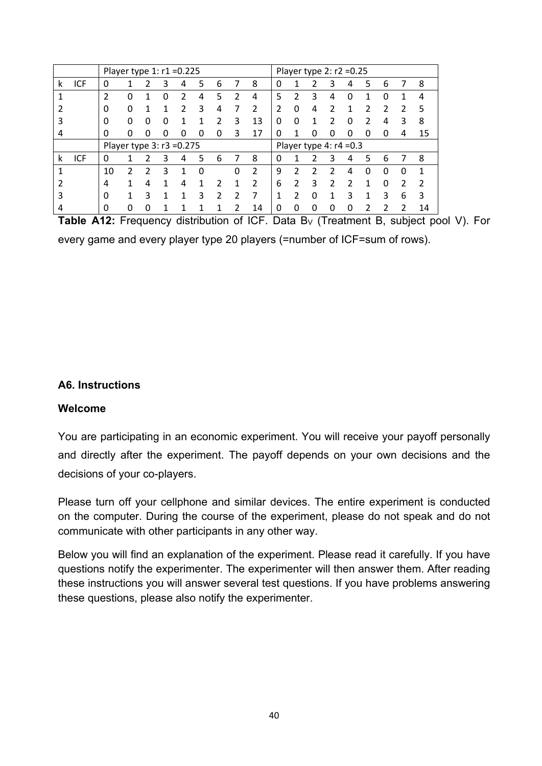|   |     |                | Player type 1: r1 = 0.225 |   |   |   |   |   |   |    |   |   |   | Player type $2: r2 = 0.25$ |   |   |   |    |    |
|---|-----|----------------|---------------------------|---|---|---|---|---|---|----|---|---|---|----------------------------|---|---|---|----|----|
| k | ICF | 0              |                           | 2 | 3 | 4 | 5 | 6 |   | 8  | 0 |   |   | 3                          | 4 | 5 | 6 |    | 8  |
|   |     | $\overline{2}$ | 0                         | 1 | O | 7 | 4 | 5 |   | 4  | 5 | 7 | 3 | 4                          | 0 |   | O |    | 4  |
|   |     | 0              | 0                         | 1 | 1 | າ | 3 | 4 |   | 2  | 2 |   | 4 | າ                          |   | າ | າ | Ͻ. | 5  |
| 3 |     | 0              | o                         | O | O |   |   | っ | 3 | 13 | 0 | n |   | っ                          | O |   | 4 | 3  | 8  |
| 4 |     | 0              | ი                         | O | O |   |   | 0 | 3 | 17 | 0 |   |   | n                          | O |   | 0 | 4  | 15 |
|   |     |                | Player type 3: r3 = 0.275 |   |   |   |   |   |   |    |   |   |   | Player type 4: $r4 = 0.3$  |   |   |   |    |    |
| k | ICF | 0              |                           |   | 3 | 4 | 5 | 6 |   | 8  | 0 |   |   | 3                          | 4 | 5 | 6 |    | 8  |
|   |     | 10             |                           | 2 | 3 |   | O |   |   | 2  | 9 |   |   |                            | 4 |   | O | O  |    |
|   |     | 4              |                           | 4 |   | 4 |   |   |   |    | 6 |   | 3 | 2                          | っ |   | 0 | っ  |    |
| 3 |     | 0              |                           | 3 |   |   | 3 | າ |   |    |   |   |   |                            | ς |   | 3 | 6  | 3  |
| 4 |     | 0              | O                         | 0 |   |   |   |   |   | 14 | 0 |   |   | n                          | Ω |   |   |    | 14 |

**Table A12:** Frequency distribution of ICF. Data B<sub>V</sub> (Treatment B, subject pool V). For every game and every player type 20 players (=number of ICF=sum of rows).

## **A6. Instructions**

## **Welcome**

You are participating in an economic experiment. You will receive your payoff personally and directly after the experiment. The payoff depends on your own decisions and the decisions of your co-players.

Please turn off your cellphone and similar devices. The entire experiment is conducted on the computer. During the course of the experiment, please do not speak and do not communicate with other participants in any other way.

Below you will find an explanation of the experiment. Please read it carefully. If you have questions notify the experimenter. The experimenter will then answer them. After reading these instructions you will answer several test questions. If you have problems answering these questions, please also notify the experimenter.